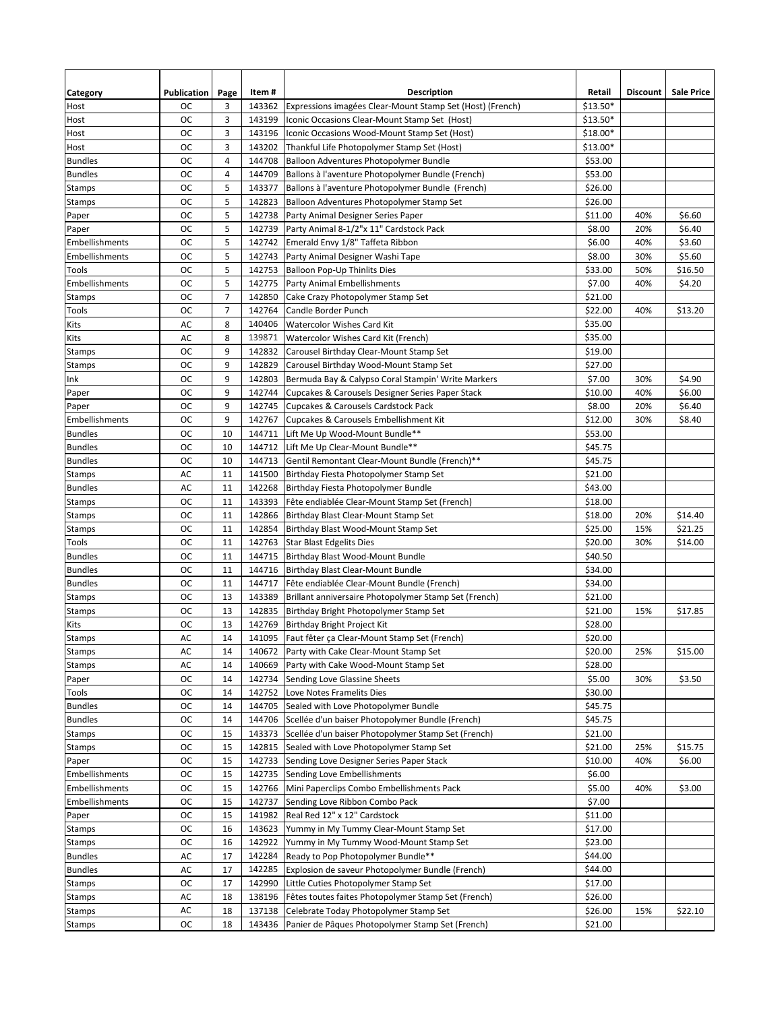| Category                       | Publication | Page           | Item#  | <b>Description</b>                                        | Retail             | <b>Discount</b> | <b>Sale Price</b> |
|--------------------------------|-------------|----------------|--------|-----------------------------------------------------------|--------------------|-----------------|-------------------|
| Host                           | ОC          | 3              | 143362 | Expressions imagées Clear-Mount Stamp Set (Host) (French) | $$13.50*$          |                 |                   |
| Host                           | ОC          | 3              | 143199 | Iconic Occasions Clear-Mount Stamp Set (Host)             | $$13.50*$          |                 |                   |
| Host                           | ОC          | 3              | 143196 | Iconic Occasions Wood-Mount Stamp Set (Host)              | $$18.00*$          |                 |                   |
| Host                           | ОC          | $\overline{3}$ | 143202 | Thankful Life Photopolymer Stamp Set (Host)               | $$13.00*$          |                 |                   |
| <b>Bundles</b>                 | ОC          | $\overline{4}$ | 144708 | Balloon Adventures Photopolymer Bundle                    | \$53.00            |                 |                   |
| <b>Bundles</b>                 | ОC          | $\overline{4}$ | 144709 | Ballons à l'aventure Photopolymer Bundle (French)         | \$53.00            |                 |                   |
| Stamps                         | ОC          | 5              | 143377 | Ballons à l'aventure Photopolymer Bundle (French)         | \$26.00            |                 |                   |
| <b>Stamps</b>                  | ОC          | 5              | 142823 | Balloon Adventures Photopolymer Stamp Set                 | \$26.00            |                 |                   |
| Paper                          | ОC          | 5              | 142738 | Party Animal Designer Series Paper                        | \$11.00            | 40%             | \$6.60            |
| Paper                          | ОC          | 5              | 142739 | Party Animal 8-1/2"x 11" Cardstock Pack                   | \$8.00             | 20%             | \$6.40            |
| Embellishments                 | ОC          | 5              | 142742 | Emerald Envy 1/8" Taffeta Ribbon                          | \$6.00             | 40%             | \$3.60            |
| Embellishments                 | ОC          | 5              | 142743 | Party Animal Designer Washi Tape                          | \$8.00             | 30%             | \$5.60            |
| Tools                          | ОC          | 5              | 142753 | <b>Balloon Pop-Up Thinlits Dies</b>                       | \$33.00            | 50%             | \$16.50           |
| Embellishments                 | <b>OC</b>   | 5              | 142775 | <b>Party Animal Embellishments</b>                        | \$7.00             | 40%             | \$4.20            |
| <b>Stamps</b>                  | ОC          | $\overline{7}$ | 142850 | Cake Crazy Photopolymer Stamp Set                         | \$21.00            |                 |                   |
| Tools                          | ОC          | $\overline{7}$ | 142764 | Candle Border Punch                                       | \$22.00            | 40%             | \$13.20           |
| Kits                           | AC          | 8              | 140406 | Watercolor Wishes Card Kit                                | \$35.00            |                 |                   |
| Kits                           | AC          | 8              | 139871 | Watercolor Wishes Card Kit (French)                       | \$35.00            |                 |                   |
| Stamps                         | ОC          | 9              | 142832 | Carousel Birthday Clear-Mount Stamp Set                   | \$19.00            |                 |                   |
| Stamps                         | ОC          | 9              | 142829 | Carousel Birthday Wood-Mount Stamp Set                    | \$27.00            |                 |                   |
| Ink                            | ОC          | 9              | 142803 | Bermuda Bay & Calypso Coral Stampin' Write Markers        | \$7.00             | 30%             | \$4.90            |
| Paper                          | ОC          | 9              | 142744 | Cupcakes & Carousels Designer Series Paper Stack          | \$10.00            | 40%             | \$6.00            |
| Paper                          | ОC          | 9              | 142745 | Cupcakes & Carousels Cardstock Pack                       | \$8.00             | 20%             | \$6.40            |
| Embellishments                 | ОC          | 9              | 142767 | Cupcakes & Carousels Embellishment Kit                    | \$12.00            | 30%             | \$8.40            |
| <b>Bundles</b>                 | ОC          | 10             | 144711 | Lift Me Up Wood-Mount Bundle**                            | \$53.00            |                 |                   |
| <b>Bundles</b>                 | oc          | 10             | 144712 | Lift Me Up Clear-Mount Bundle**                           | \$45.75            |                 |                   |
| <b>Bundles</b>                 | ОC          | 10             | 144713 | Gentil Remontant Clear-Mount Bundle (French)**            | \$45.75            |                 |                   |
| <b>Stamps</b>                  | AC          | 11             | 141500 | Birthday Fiesta Photopolymer Stamp Set                    | \$21.00            |                 |                   |
| <b>Bundles</b>                 | AC          | 11             | 142268 | Birthday Fiesta Photopolymer Bundle                       | \$43.00            |                 |                   |
| Stamps                         | ОC          | 11             | 143393 | Fête endiablée Clear-Mount Stamp Set (French)             | \$18.00            |                 |                   |
| Stamps                         | ОC          | 11             | 142866 | Birthday Blast Clear-Mount Stamp Set                      | \$18.00            | 20%             | \$14.40           |
| Stamps                         | ОC          | 11             | 142854 | Birthday Blast Wood-Mount Stamp Set                       | \$25.00            | 15%             | \$21.25           |
| Tools                          | ОC          | 11             | 142763 | <b>Star Blast Edgelits Dies</b>                           | \$20.00            | 30%             | \$14.00           |
| <b>Bundles</b>                 | ОC          | 11             | 144715 | Birthday Blast Wood-Mount Bundle                          | \$40.50            |                 |                   |
| <b>Bundles</b>                 | ОC          | 11             | 144716 | Birthday Blast Clear-Mount Bundle                         | \$34.00            |                 |                   |
| <b>Bundles</b>                 | ОC          | 11             | 144717 | Fête endiablée Clear-Mount Bundle (French)                | \$34.00            |                 |                   |
| Stamps                         | ОC          | 13             | 143389 | Brillant anniversaire Photopolymer Stamp Set (French)     | \$21.00            |                 |                   |
| <b>Stamps</b>                  | ОC          | 13             | 142835 | Birthday Bright Photopolymer Stamp Set                    | \$21.00            | 15%             | \$17.85           |
| Kits                           | oc          | 13             | 142769 | Birthday Bright Project Kit                               | \$28.00            |                 |                   |
| <b>Stamps</b>                  | AC          | 14             |        | 141095 Faut fêter ça Clear-Mount Stamp Set (French)       | \$20.00            |                 |                   |
|                                |             |                |        | 140672 Party with Cake Clear-Mount Stamp Set              |                    |                 |                   |
| <b>Stamps</b><br><b>Stamps</b> | AC<br>AC    | 14<br>14       |        |                                                           | \$20.00<br>\$28.00 | 25%             | \$15.00           |
|                                |             | 14             | 140669 | Party with Cake Wood-Mount Stamp Set                      | \$5.00             |                 |                   |
| Paper<br>Tools                 | ос          | 14             | 142734 | Sending Love Glassine Sheets<br>Love Notes Framelits Dies |                    | 30%             | \$3.50            |
| <b>Bundles</b>                 | ос<br>ОC    | 14             | 142752 | Sealed with Love Photopolymer Bundle                      | \$30.00<br>\$45.75 |                 |                   |
| <b>Bundles</b>                 |             |                | 144705 |                                                           |                    |                 |                   |
|                                | ОC          | 14             |        | 144706 Scellée d'un baiser Photopolymer Bundle (French)   | \$45.75            |                 |                   |
| Stamps                         | oc          | 15             | 143373 | Scellée d'un baiser Photopolymer Stamp Set (French)       | \$21.00            |                 |                   |
| Stamps                         | oc          | 15             | 142815 | Sealed with Love Photopolymer Stamp Set                   | \$21.00            | 25%             | \$15.75           |
| Paper                          | oc          | 15             |        | 142733 Sending Love Designer Series Paper Stack           | \$10.00            | 40%             | \$6.00            |
| Embellishments                 | ОC          | 15             | 142735 | Sending Love Embellishments                               | \$6.00             |                 |                   |
| <b>Embellishments</b>          | oc          | 15             | 142766 | Mini Paperclips Combo Embellishments Pack                 | \$5.00             | 40%             | \$3.00            |
| Embellishments                 | oc          | 15             | 142737 | Sending Love Ribbon Combo Pack                            | \$7.00             |                 |                   |
| Paper                          | oc          | 15             | 141982 | Real Red 12" x 12" Cardstock                              | \$11.00            |                 |                   |
| Stamps                         | oc          | 16             | 143623 | Yummy in My Tummy Clear-Mount Stamp Set                   | \$17.00            |                 |                   |
| Stamps                         | ОC          | 16             | 142922 | Yummy in My Tummy Wood-Mount Stamp Set                    | \$23.00            |                 |                   |
| <b>Bundles</b>                 | AC          | 17             | 142284 | Ready to Pop Photopolymer Bundle**                        | \$44.00            |                 |                   |
| <b>Bundles</b>                 | AC          | 17             | 142285 | Explosion de saveur Photopolymer Bundle (French)          | \$44.00            |                 |                   |
| Stamps                         | oc          | 17             | 142990 | Little Cuties Photopolymer Stamp Set                      | \$17.00            |                 |                   |
| Stamps                         | AC          | 18             | 138196 | Fêtes toutes faites Photopolymer Stamp Set (French)       | \$26.00            |                 |                   |
| Stamps                         | AC          | 18             | 137138 | Celebrate Today Photopolymer Stamp Set                    | \$26.00            | 15%             | \$22.10           |
| Stamps                         | ос          | 18             | 143436 | Panier de Pâques Photopolymer Stamp Set (French)          | \$21.00            |                 |                   |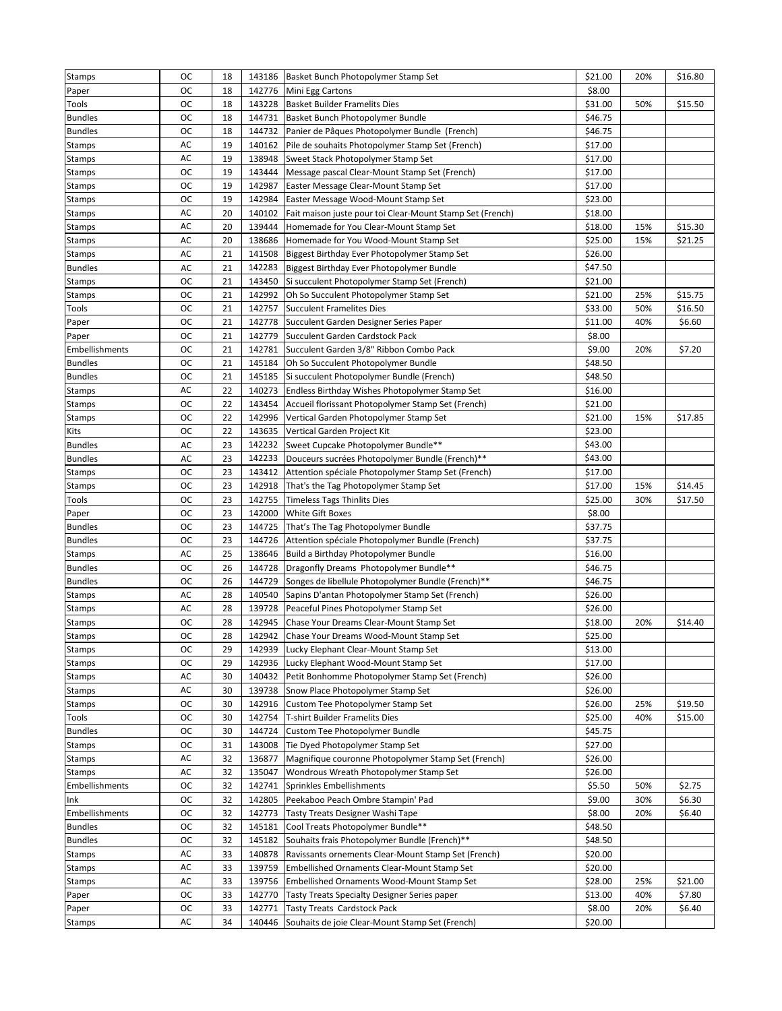| <b>Stamps</b>            | ОC        | 18 |                  | 143186 Basket Bunch Photopolymer Stamp Set                          | \$21.00            | 20% | \$16.80 |
|--------------------------|-----------|----|------------------|---------------------------------------------------------------------|--------------------|-----|---------|
| Paper                    | oc        | 18 |                  | 142776 Mini Egg Cartons                                             | \$8.00             |     |         |
| Tools                    | oc        | 18 | 143228           | <b>Basket Builder Framelits Dies</b>                                | \$31.00            | 50% | \$15.50 |
| <b>Bundles</b>           | oc        | 18 | 144731           | Basket Bunch Photopolymer Bundle                                    | \$46.75            |     |         |
| <b>Bundles</b>           | oc        | 18 | 144732           | Panier de Pâques Photopolymer Bundle (French)                       | \$46.75            |     |         |
| Stamps                   | AC        | 19 | 140162           | Pile de souhaits Photopolymer Stamp Set (French)                    | \$17.00            |     |         |
| Stamps                   | AC        | 19 | 138948           | Sweet Stack Photopolymer Stamp Set                                  | \$17.00            |     |         |
| Stamps                   | ОC        | 19 | 143444           | Message pascal Clear-Mount Stamp Set (French)                       | \$17.00            |     |         |
| Stamps                   | ОC        | 19 | 142987           | Easter Message Clear-Mount Stamp Set                                | \$17.00            |     |         |
| Stamps                   | oc        | 19 | 142984           | Easter Message Wood-Mount Stamp Set                                 | \$23.00            |     |         |
| Stamps                   | AC        | 20 | 140102           | Fait maison juste pour toi Clear-Mount Stamp Set (French)           | \$18.00            |     |         |
| Stamps                   | AC        | 20 | 139444           | Homemade for You Clear-Mount Stamp Set                              | \$18.00            | 15% | \$15.30 |
| Stamps                   | AC        | 20 | 138686           | Homemade for You Wood-Mount Stamp Set                               | \$25.00            | 15% | \$21.25 |
| Stamps                   | AC        | 21 | 141508           | Biggest Birthday Ever Photopolymer Stamp Set                        | \$26.00            |     |         |
| <b>Bundles</b>           | AC        | 21 | 142283           | Biggest Birthday Ever Photopolymer Bundle                           | \$47.50            |     |         |
| Stamps                   | <b>OC</b> | 21 | 143450           | Si succulent Photopolymer Stamp Set (French)                        | \$21.00            |     |         |
| Stamps                   | ОC        | 21 | 142992           | Oh So Succulent Photopolymer Stamp Set                              | \$21.00            | 25% | \$15.75 |
| Tools                    | oc        | 21 | 142757           | <b>Succulent Framelites Dies</b>                                    | \$33.00            | 50% | \$16.50 |
| Paper                    | oc        | 21 | 142778           | Succulent Garden Designer Series Paper                              | \$11.00            | 40% | \$6.60  |
| Paper                    | oc        | 21 | 142779           | Succulent Garden Cardstock Pack                                     | \$8.00             |     |         |
| Embellishments           | oc        | 21 | 142781           | Succulent Garden 3/8" Ribbon Combo Pack                             | \$9.00             | 20% | \$7.20  |
| <b>Bundles</b>           | oc        | 21 | 145184           | Oh So Succulent Photopolymer Bundle                                 | \$48.50            |     |         |
| <b>Bundles</b>           | ОC        | 21 | 145185           | Si succulent Photopolymer Bundle (French)                           | \$48.50            |     |         |
| Stamps                   | AC        | 22 | 140273           | Endless Birthday Wishes Photopolymer Stamp Set                      | \$16.00            |     |         |
| Stamps                   | <b>OC</b> | 22 | 143454           | Accueil florissant Photopolymer Stamp Set (French)                  | \$21.00            |     |         |
| Stamps                   | ОC        | 22 | 142996           | Vertical Garden Photopolymer Stamp Set                              | \$21.00            | 15% | \$17.85 |
| Kits                     | oc        | 22 | 143635           | Vertical Garden Project Kit                                         | \$23.00            |     |         |
| <b>Bundles</b>           | AC        | 23 | 142232           | Sweet Cupcake Photopolymer Bundle**                                 | \$43.00            |     |         |
| <b>Bundles</b>           | AC        | 23 | 142233           | Douceurs sucrées Photopolymer Bundle (French)**                     | \$43.00            |     |         |
| <b>Stamps</b>            | ОC        | 23 | 143412           | Attention spéciale Photopolymer Stamp Set (French)                  | \$17.00            |     |         |
| Stamps                   | ос        | 23 | 142918           | That's the Tag Photopolymer Stamp Set                               | \$17.00            | 15% | \$14.45 |
| Tools                    | oc        | 23 | 142755           | <b>Timeless Tags Thinlits Dies</b>                                  | \$25.00            | 30% | \$17.50 |
| Paper                    | ОC        | 23 | 142000           | White Gift Boxes                                                    | \$8.00             |     |         |
| <b>Bundles</b>           | <b>OC</b> | 23 | 144725           | That's The Tag Photopolymer Bundle                                  | \$37.75            |     |         |
| <b>Bundles</b>           | oc        | 23 | 144726           | Attention spéciale Photopolymer Bundle (French)                     | \$37.75            |     |         |
| Stamps                   | AC        | 25 | 138646           | Build a Birthday Photopolymer Bundle                                | \$16.00            |     |         |
| <b>Bundles</b>           | oc        | 26 | 144728           | Dragonfly Dreams Photopolymer Bundle**                              | \$46.75            |     |         |
| <b>Bundles</b>           | oc        | 26 | 144729           | Songes de libellule Photopolymer Bundle (French)**                  | \$46.75            |     |         |
| Stamps                   | AC        | 28 | 140540           | Sapins D'antan Photopolymer Stamp Set (French)                      | \$26.00            |     |         |
| Stamps                   | AC        | 28 | 139728           | Peaceful Pines Photopolymer Stamp Set                               | \$26.00            |     |         |
| <b>Stamps</b>            | ОC        | 28 | 142945           | Chase Your Dreams Clear-Mount Stamp Set                             | \$18.00            | 20% | \$14.40 |
| Stamps                   | ОC        | 28 |                  | 142942 Chase Your Dreams Wood-Mount Stamp Set                       | \$25.00            |     |         |
|                          | ос        | 29 |                  | 142939 Lucky Elephant Clear-Mount Stamp Set                         | \$13.00            |     |         |
| Stamps<br>Stamps         | oc        | 29 | 142936           | Lucky Elephant Wood-Mount Stamp Set                                 | \$17.00            |     |         |
| <b>Stamps</b>            | AC        | 30 | 140432           | Petit Bonhomme Photopolymer Stamp Set (French)                      | \$26.00            |     |         |
|                          |           | 30 |                  |                                                                     |                    |     |         |
| <b>Stamps</b>            | AC<br>ОC  | 30 | 139738<br>142916 | Snow Place Photopolymer Stamp Set                                   | \$26.00<br>\$26.00 | 25% | \$19.50 |
| Stamps<br>Tools          | oc        | 30 | 142754           | Custom Tee Photopolymer Stamp Set<br>T-shirt Builder Framelits Dies | \$25.00            | 40% | \$15.00 |
|                          | ос        | 30 | 144724           |                                                                     | \$45.75            |     |         |
| <b>Bundles</b><br>Stamps | ос        | 31 | 143008           | Custom Tee Photopolymer Bundle<br>Tie Dyed Photopolymer Stamp Set   | \$27.00            |     |         |
|                          | AC        |    |                  |                                                                     |                    |     |         |
| <b>Stamps</b>            | AC        | 32 | 136877           | Magnifique couronne Photopolymer Stamp Set (French)                 | \$26.00            |     |         |
| Stamps                   |           | 32 | 135047           | Wondrous Wreath Photopolymer Stamp Set                              | \$26.00            |     |         |
| Embellishments           | oc        | 32 | 142741           | Sprinkles Embellishments                                            | \$5.50             | 50% | \$2.75  |
| Ink                      | ос        | 32 | 142805           | Peekaboo Peach Ombre Stampin' Pad                                   | \$9.00             | 30% | \$6.30  |
| Embellishments           | oc        | 32 | 142773           | Tasty Treats Designer Washi Tape                                    | \$8.00             | 20% | \$6.40  |
| <b>Bundles</b>           | oc        | 32 | 145181           | Cool Treats Photopolymer Bundle**                                   | \$48.50            |     |         |
| <b>Bundles</b>           | oc        | 32 | 145182           | Souhaits frais Photopolymer Bundle (French)**                       | \$48.50            |     |         |
| Stamps                   | AC        | 33 | 140878           | Ravissants ornements Clear-Mount Stamp Set (French)                 | \$20.00            |     |         |
| Stamps                   | AC        | 33 | 139759           | Embellished Ornaments Clear-Mount Stamp Set                         | \$20.00            |     |         |
| Stamps                   | AC        | 33 | 139756           | Embellished Ornaments Wood-Mount Stamp Set                          | \$28.00            | 25% | \$21.00 |
| Paper                    | oc        | 33 | 142770           | Tasty Treats Specialty Designer Series paper                        | \$13.00            | 40% | \$7.80  |
| Paper                    | ОC        | 33 | 142771           | Tasty Treats Cardstock Pack                                         | \$8.00             | 20% | \$6.40  |
| <b>Stamps</b>            | AC        | 34 | 140446           | Souhaits de joie Clear-Mount Stamp Set (French)                     | \$20.00            |     |         |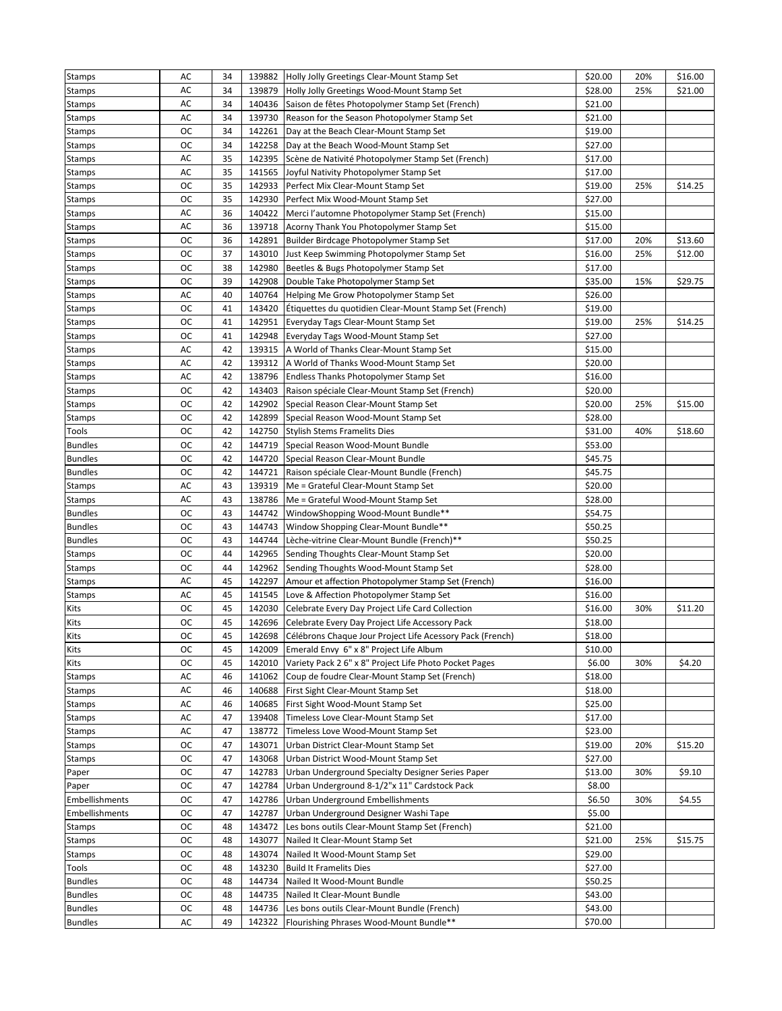| <b>Stamps</b>           | AC        | 34       |                  | 139882 Holly Jolly Greetings Clear-Mount Stamp Set                                     | \$20.00            | 20% | \$16.00 |
|-------------------------|-----------|----------|------------------|----------------------------------------------------------------------------------------|--------------------|-----|---------|
| Stamps                  | AC        | 34       |                  | 139879 Holly Jolly Greetings Wood-Mount Stamp Set                                      | \$28.00            | 25% | \$21.00 |
| Stamps                  | AC        | 34       | 140436           | Saison de fêtes Photopolymer Stamp Set (French)                                        | \$21.00            |     |         |
| Stamps                  | AC        | 34       |                  | 139730 Reason for the Season Photopolymer Stamp Set                                    | \$21.00            |     |         |
| Stamps                  | ОC        | 34       | 142261           | Day at the Beach Clear-Mount Stamp Set                                                 | \$19.00            |     |         |
| Stamps                  | ОC        | 34       |                  | 142258 Day at the Beach Wood-Mount Stamp Set                                           | \$27.00            |     |         |
| Stamps                  | AC        | 35       |                  | 142395 Scène de Nativité Photopolymer Stamp Set (French)                               | \$17.00            |     |         |
| Stamps                  | AC        | 35       | 141565           | Joyful Nativity Photopolymer Stamp Set                                                 | \$17.00            |     |         |
| Stamps                  | ОC        | 35       | 142933           | Perfect Mix Clear-Mount Stamp Set                                                      | \$19.00            | 25% | \$14.25 |
| Stamps                  | ОC        | 35       | 142930           | Perfect Mix Wood-Mount Stamp Set                                                       | \$27.00            |     |         |
| Stamps                  | AC        | 36       |                  | 140422 Merci l'automne Photopolymer Stamp Set (French)                                 | \$15.00            |     |         |
| Stamps                  | AC        | 36       | 139718           | Acorny Thank You Photopolymer Stamp Set                                                | \$15.00            |     |         |
| Stamps                  | ОC        | 36       | 142891           | Builder Birdcage Photopolymer Stamp Set                                                | \$17.00            | 20% | \$13.60 |
| Stamps                  | ОC        | 37       | 143010           | Just Keep Swimming Photopolymer Stamp Set                                              | \$16.00            | 25% | \$12.00 |
| Stamps                  | ОC        | 38       | 142980           | Beetles & Bugs Photopolymer Stamp Set                                                  | \$17.00            |     |         |
| Stamps                  | ОC        | 39       | 142908           | Double Take Photopolymer Stamp Set                                                     | \$35.00            | 15% | \$29.75 |
| Stamps                  | AC        | 40       | 140764           | Helping Me Grow Photopolymer Stamp Set                                                 | \$26.00            |     |         |
| Stamps                  | ОC        | 41       | 143420           | Etiquettes du quotidien Clear-Mount Stamp Set (French)                                 | \$19.00            |     |         |
| Stamps                  | ОC        | 41       |                  | 142951 Everyday Tags Clear-Mount Stamp Set                                             | \$19.00            | 25% | \$14.25 |
| <b>Stamps</b>           | ОC        | 41       |                  | 142948 Everyday Tags Wood-Mount Stamp Set                                              | \$27.00            |     |         |
| Stamps                  | AC        | 42       | 139315           | A World of Thanks Clear-Mount Stamp Set                                                | \$15.00            |     |         |
| Stamps                  | AC        | 42       | 139312           | A World of Thanks Wood-Mount Stamp Set                                                 | \$20.00            |     |         |
| Stamps                  | AC        | 42       | 138796           | Endless Thanks Photopolymer Stamp Set                                                  | \$16.00            |     |         |
| Stamps                  | ОC        | 42       | 143403           | Raison spéciale Clear-Mount Stamp Set (French)                                         | \$20.00            |     |         |
| Stamps                  | ОC        | 42       | 142902           | Special Reason Clear-Mount Stamp Set                                                   | \$20.00            | 25% | \$15.00 |
| Stamps                  | ОC        | 42       | 142899           | Special Reason Wood-Mount Stamp Set                                                    | \$28.00            |     |         |
| Tools                   | oc        | 42       | 142750           | <b>Stylish Stems Framelits Dies</b>                                                    | \$31.00            | 40% | \$18.60 |
| <b>Bundles</b>          | ОC        | 42       | 144719           | Special Reason Wood-Mount Bundle                                                       | \$53.00            |     |         |
| <b>Bundles</b>          | ОC        | 42       | 144720           | Special Reason Clear-Mount Bundle                                                      | \$45.75            |     |         |
| <b>Bundles</b>          | ОC        | 42       | 144721           | Raison spéciale Clear-Mount Bundle (French)                                            | \$45.75            |     |         |
| Stamps                  | AC        | 43       | 139319           | Me = Grateful Clear-Mount Stamp Set                                                    | \$20.00            |     |         |
| Stamps                  | AC        | 43       | 138786           | Me = Grateful Wood-Mount Stamp Set                                                     | \$28.00            |     |         |
| <b>Bundles</b>          | ОC        | 43       | 144742           | WindowShopping Wood-Mount Bundle**                                                     | \$54.75            |     |         |
| <b>Bundles</b>          | <b>OC</b> | 43       | 144743           | Window Shopping Clear-Mount Bundle**                                                   | \$50.25            |     |         |
| <b>Bundles</b>          | ОC        | 43       | 144744           | Lèche-vitrine Clear-Mount Bundle (French)**                                            | \$50.25            |     |         |
| Stamps                  | ОC        | 44       |                  | 142965 Sending Thoughts Clear-Mount Stamp Set                                          | \$20.00            |     |         |
| <b>Stamps</b>           | ОC        | 44       | 142962           | Sending Thoughts Wood-Mount Stamp Set                                                  | \$28.00            |     |         |
| Stamps                  | AC        | 45       | 142297           | Amour et affection Photopolymer Stamp Set (French)                                     | \$16.00            |     |         |
| <b>Stamps</b>           | AC        | 45       | 141545           | Love & Affection Photopolymer Stamp Set                                                | \$16.00            |     |         |
| Kits                    | ОC        | 45       | 142030           | Celebrate Every Day Project Life Card Collection                                       | \$16.00            | 30% | \$11.20 |
| Kits                    | ОC        | 45       |                  | 142696 Celebrate Every Day Project Life Accessory Pack                                 | \$18.00            |     |         |
| Kits                    | ОC        | 45       |                  | 142698 Célébrons Chaque Jour Project Life Acessory Pack (French)                       | \$18.00            |     |         |
| Kits                    | oc        | 45       |                  | 142009 Emerald Envy 6" x 8" Project Life Album                                         | \$10.00            |     |         |
| Kits                    | ос        | 45       | 142010           | Variety Pack 2 6" x 8" Project Life Photo Pocket Pages                                 | \$6.00             | 30% | \$4.20  |
| <b>Stamps</b>           | AC        | 46       | 141062           | Coup de foudre Clear-Mount Stamp Set (French)                                          | \$18.00            |     |         |
| <b>Stamps</b>           | AC        | 46       | 140688           | First Sight Clear-Mount Stamp Set                                                      | \$18.00            |     |         |
| Stamps                  | AC        | 46       | 140685           | First Sight Wood-Mount Stamp Set                                                       | \$25.00            |     |         |
| Stamps                  | AC        | 47       | 139408           | Timeless Love Clear-Mount Stamp Set                                                    | \$17.00            |     |         |
| <b>Stamps</b>           | AC        | 47       | 138772           | Timeless Love Wood-Mount Stamp Set                                                     | \$23.00            |     |         |
| Stamps                  | ОC        | 47       | 143071           | Urban District Clear-Mount Stamp Set                                                   | \$19.00            | 20% | \$15.20 |
| Stamps                  | ос        | 47       | 143068           | Urban District Wood-Mount Stamp Set                                                    | \$27.00            |     |         |
| Paper                   | ос        | 47       | 142783           | Urban Underground Specialty Designer Series Paper                                      | \$13.00            | 30% | \$9.10  |
|                         | ОC        | 47       | 142784           | Urban Underground 8-1/2"x 11" Cardstock Pack                                           | \$8.00             |     |         |
| Paper<br>Embellishments | ос        | 47       | 142786           | Urban Underground Embellishments                                                       | \$6.50             | 30% | \$4.55  |
|                         |           |          |                  |                                                                                        |                    |     |         |
| Embellishments          | ОC<br>ОC  | 47<br>48 | 142787<br>143472 | Urban Underground Designer Washi Tape                                                  | \$5.00<br>\$21.00  |     |         |
| Stamps                  |           |          |                  | Les bons outils Clear-Mount Stamp Set (French)                                         |                    |     |         |
| <b>Stamps</b>           | ОC        | 48<br>48 | 143077<br>143074 | Nailed It Clear-Mount Stamp Set                                                        | \$21.00<br>\$29.00 | 25% | \$15.75 |
| <b>Stamps</b>           | ОC        | 48       |                  | Nailed It Wood-Mount Stamp Set                                                         |                    |     |         |
| Tools                   | oc        |          | 143230           | <b>Build It Framelits Dies</b>                                                         | \$27.00            |     |         |
| <b>Bundles</b>          | ос<br>ОC  | 48<br>48 | 144734           | Nailed It Wood-Mount Bundle                                                            | \$50.25            |     |         |
| <b>Bundles</b>          |           |          | 144735           | Nailed It Clear-Mount Bundle                                                           | \$43.00            |     |         |
| <b>Bundles</b>          | ОC        | 48       | 144736           | Les bons outils Clear-Mount Bundle (French)<br>Flourishing Phrases Wood-Mount Bundle** | \$43.00            |     |         |
| <b>Bundles</b>          | AC        | 49       | 142322           |                                                                                        | \$70.00            |     |         |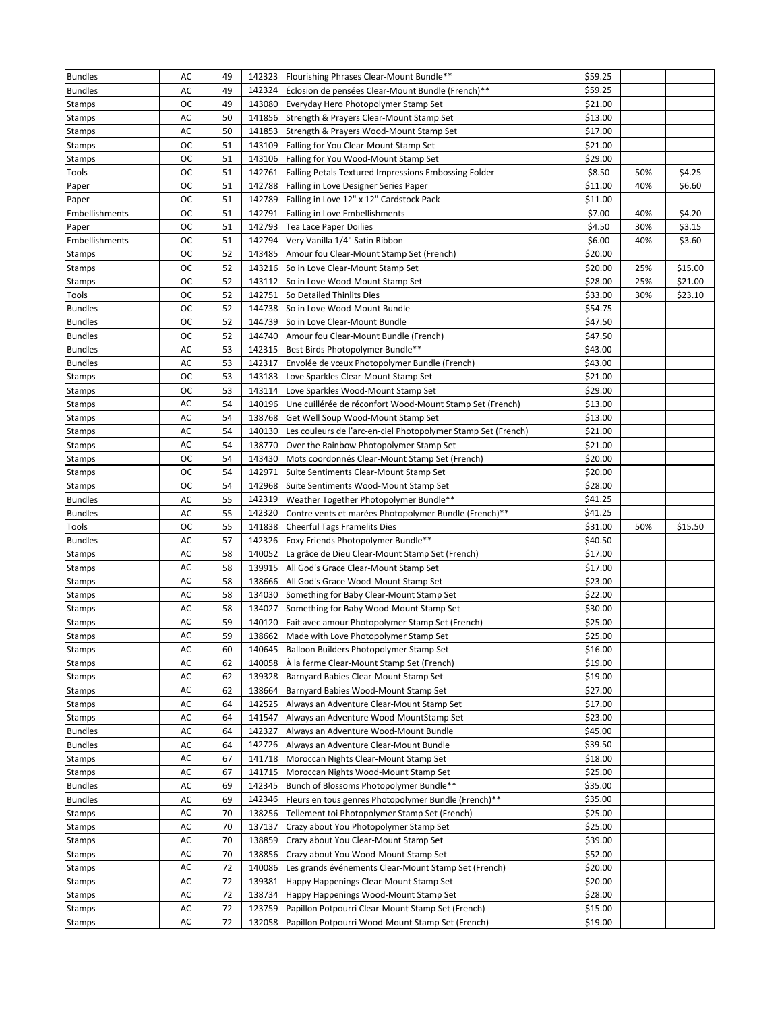| <b>Bundles</b> | AC | 49 |        | 142323 Flourishing Phrases Clear-Mount Bundle**               | \$59.25 |     |         |
|----------------|----|----|--------|---------------------------------------------------------------|---------|-----|---------|
| <b>Bundles</b> | AC | 49 | 142324 | Éclosion de pensées Clear-Mount Bundle (French)**             | \$59.25 |     |         |
| <b>Stamps</b>  | ос | 49 | 143080 | Everyday Hero Photopolymer Stamp Set                          | \$21.00 |     |         |
| <b>Stamps</b>  | AC | 50 | 141856 | Strength & Prayers Clear-Mount Stamp Set                      | \$13.00 |     |         |
| Stamps         | AC | 50 |        | 141853 Strength & Prayers Wood-Mount Stamp Set                | \$17.00 |     |         |
| <b>Stamps</b>  | ос | 51 |        | 143109 Falling for You Clear-Mount Stamp Set                  | \$21.00 |     |         |
| <b>Stamps</b>  | ос | 51 | 143106 | Falling for You Wood-Mount Stamp Set                          | \$29.00 |     |         |
| Tools          | ос | 51 | 142761 | Falling Petals Textured Impressions Embossing Folder          | \$8.50  | 50% | \$4.25  |
| Paper          | oc | 51 | 142788 | Falling in Love Designer Series Paper                         | \$11.00 | 40% | \$6.60  |
| Paper          | ОC | 51 | 142789 | Falling in Love 12" x 12" Cardstock Pack                      | \$11.00 |     |         |
| Embellishments | ОC | 51 | 142791 | Falling in Love Embellishments                                | \$7.00  | 40% | \$4.20  |
| Paper          | ОC | 51 | 142793 | Tea Lace Paper Doilies                                        | \$4.50  | 30% | \$3.15  |
| Embellishments | ос | 51 |        | 142794 Very Vanilla 1/4" Satin Ribbon                         | \$6.00  | 40% | \$3.60  |
| Stamps         | ос | 52 | 143485 | Amour fou Clear-Mount Stamp Set (French)                      | \$20.00 |     |         |
| <b>Stamps</b>  | ос | 52 |        | 143216 So in Love Clear-Mount Stamp Set                       | \$20.00 | 25% | \$15.00 |
| <b>Stamps</b>  | oc | 52 | 143112 | So in Love Wood-Mount Stamp Set                               | \$28.00 | 25% | \$21.00 |
| Tools          | oc | 52 | 142751 | So Detailed Thinlits Dies                                     | \$33.00 | 30% | \$23.10 |
| <b>Bundles</b> | ОC | 52 | 144738 | So in Love Wood-Mount Bundle                                  | \$54.75 |     |         |
| <b>Bundles</b> | ос | 52 |        | 144739 So in Love Clear-Mount Bundle                          | \$47.50 |     |         |
| <b>Bundles</b> | ос | 52 |        | 144740 Amour fou Clear-Mount Bundle (French)                  | \$47.50 |     |         |
| <b>Bundles</b> | AC | 53 | 142315 | Best Birds Photopolymer Bundle**                              | \$43.00 |     |         |
| <b>Bundles</b> | AC | 53 | 142317 | Envolée de vœux Photopolymer Bundle (French)                  | \$43.00 |     |         |
| <b>Stamps</b>  | ос | 53 | 143183 | Love Sparkles Clear-Mount Stamp Set                           | \$21.00 |     |         |
| <b>Stamps</b>  | ос | 53 | 143114 | Love Sparkles Wood-Mount Stamp Set                            | \$29.00 |     |         |
| <b>Stamps</b>  | AC | 54 | 140196 | Une cuillérée de réconfort Wood-Mount Stamp Set (French)      | \$13.00 |     |         |
| <b>Stamps</b>  | AC | 54 | 138768 | Get Well Soup Wood-Mount Stamp Set                            | \$13.00 |     |         |
| <b>Stamps</b>  | AC | 54 | 140130 | Les couleurs de l'arc-en-ciel Photopolymer Stamp Set (French) | \$21.00 |     |         |
| Stamps         | AC | 54 | 138770 | Over the Rainbow Photopolymer Stamp Set                       | \$21.00 |     |         |
| Stamps         | ос | 54 |        | 143430 Mots coordonnés Clear-Mount Stamp Set (French)         | \$20.00 |     |         |
| Stamps         | ос | 54 | 142971 | Suite Sentiments Clear-Mount Stamp Set                        | \$20.00 |     |         |
| <b>Stamps</b>  | ос | 54 | 142968 | Suite Sentiments Wood-Mount Stamp Set                         | \$28.00 |     |         |
| <b>Bundles</b> | AC | 55 |        | 142319 Weather Together Photopolymer Bundle**                 | \$41.25 |     |         |
| <b>Bundles</b> | AC | 55 | 142320 | Contre vents et marées Photopolymer Bundle (French)**         | \$41.25 |     |         |
| Tools          | oc | 55 | 141838 | <b>Cheerful Tags Framelits Dies</b>                           | \$31.00 | 50% | \$15.50 |
| <b>Bundles</b> | AC | 57 | 142326 | Foxy Friends Photopolymer Bundle**                            | \$40.50 |     |         |
| <b>Stamps</b>  | AC | 58 | 140052 | La grâce de Dieu Clear-Mount Stamp Set (French)               | \$17.00 |     |         |
| <b>Stamps</b>  | AC | 58 |        | 139915   All God's Grace Clear-Mount Stamp Set                | \$17.00 |     |         |
| <b>Stamps</b>  | AC | 58 | 138666 | All God's Grace Wood-Mount Stamp Set                          | \$23.00 |     |         |
| <b>Stamps</b>  | AC | 58 | 134030 | Something for Baby Clear-Mount Stamp Set                      | \$22.00 |     |         |
| <b>Stamps</b>  | AC | 58 | 134027 | Something for Baby Wood-Mount Stamp Set                       | \$30.00 |     |         |
| <b>Stamps</b>  | AC | 59 |        | 140120 Fait avec amour Photopolymer Stamp Set (French)        | \$25.00 |     |         |
| <b>Stamps</b>  | AC | 59 |        | 138662 Made with Love Photopolymer Stamp Set                  | \$25.00 |     |         |
| <b>Stamps</b>  | AC | 60 |        | 140645 Balloon Builders Photopolymer Stamp Set                | \$16.00 |     |         |
| <b>Stamps</b>  | AC | 62 | 140058 | À la ferme Clear-Mount Stamp Set (French)                     | \$19.00 |     |         |
| <b>Stamps</b>  | AC | 62 | 139328 | Barnyard Babies Clear-Mount Stamp Set                         | \$19.00 |     |         |
| Stamps         | AC | 62 | 138664 | Barnyard Babies Wood-Mount Stamp Set                          | \$27.00 |     |         |
| <b>Stamps</b>  | AC | 64 | 142525 | Always an Adventure Clear-Mount Stamp Set                     | \$17.00 |     |         |
| <b>Stamps</b>  | AC | 64 | 141547 | Always an Adventure Wood-MountStamp Set                       | \$23.00 |     |         |
| <b>Bundles</b> | AC | 64 | 142327 | Always an Adventure Wood-Mount Bundle                         | \$45.00 |     |         |
| <b>Bundles</b> | AC | 64 | 142726 | Always an Adventure Clear-Mount Bundle                        | \$39.50 |     |         |
| <b>Stamps</b>  | AC | 67 | 141718 | Moroccan Nights Clear-Mount Stamp Set                         | \$18.00 |     |         |
| Stamps         | AC | 67 | 141715 | Moroccan Nights Wood-Mount Stamp Set                          | \$25.00 |     |         |
| <b>Bundles</b> | AC | 69 | 142345 | Bunch of Blossoms Photopolymer Bundle**                       | \$35.00 |     |         |
| <b>Bundles</b> | AC | 69 | 142346 | Fleurs en tous genres Photopolymer Bundle (French)**          | \$35.00 |     |         |
| <b>Stamps</b>  | AC | 70 | 138256 | Tellement toi Photopolymer Stamp Set (French)                 | \$25.00 |     |         |
| <b>Stamps</b>  | AC | 70 | 137137 | Crazy about You Photopolymer Stamp Set                        | \$25.00 |     |         |
| <b>Stamps</b>  | AC | 70 | 138859 | Crazy about You Clear-Mount Stamp Set                         | \$39.00 |     |         |
| Stamps         | AC | 70 | 138856 | Crazy about You Wood-Mount Stamp Set                          | \$52.00 |     |         |
| <b>Stamps</b>  | AC | 72 | 140086 | Les grands événements Clear-Mount Stamp Set (French)          | \$20.00 |     |         |
| <b>Stamps</b>  | AC | 72 | 139381 | Happy Happenings Clear-Mount Stamp Set                        | \$20.00 |     |         |
| <b>Stamps</b>  | AC | 72 | 138734 | Happy Happenings Wood-Mount Stamp Set                         | \$28.00 |     |         |
| Stamps         | AC | 72 | 123759 | Papillon Potpourri Clear-Mount Stamp Set (French)             | \$15.00 |     |         |
|                | AC | 72 | 132058 | Papillon Potpourri Wood-Mount Stamp Set (French)              | \$19.00 |     |         |
| <b>Stamps</b>  |    |    |        |                                                               |         |     |         |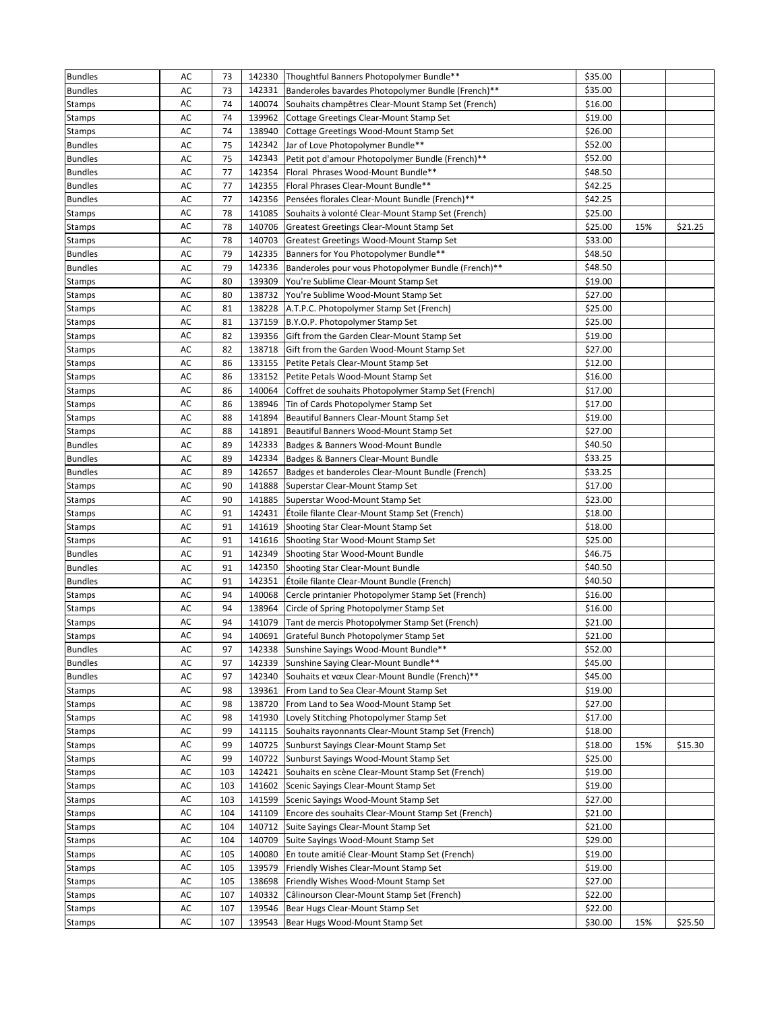| <b>Bundles</b> | AC | 73  |        | 142330 Thoughtful Banners Photopolymer Bundle**           | \$35.00 |     |         |
|----------------|----|-----|--------|-----------------------------------------------------------|---------|-----|---------|
| <b>Bundles</b> | AC | 73  |        | 142331 Banderoles bavardes Photopolymer Bundle (French)** | \$35.00 |     |         |
| <b>Stamps</b>  | AC | 74  | 140074 | Souhaits champêtres Clear-Mount Stamp Set (French)        | \$16.00 |     |         |
| <b>Stamps</b>  | AC | 74  | 139962 | Cottage Greetings Clear-Mount Stamp Set                   | \$19.00 |     |         |
| <b>Stamps</b>  | AC | 74  | 138940 | Cottage Greetings Wood-Mount Stamp Set                    | \$26.00 |     |         |
| <b>Bundles</b> | AC | 75  | 142342 | Jar of Love Photopolymer Bundle**                         | \$52.00 |     |         |
| <b>Bundles</b> | AC | 75  | 142343 | Petit pot d'amour Photopolymer Bundle (French)**          | \$52.00 |     |         |
| <b>Bundles</b> | AC | 77  | 142354 | Floral Phrases Wood-Mount Bundle**                        | \$48.50 |     |         |
| <b>Bundles</b> | AC | 77  | 142355 | Floral Phrases Clear-Mount Bundle**                       | \$42.25 |     |         |
| <b>Bundles</b> | AC | 77  | 142356 | Pensées florales Clear-Mount Bundle (French)**            | \$42.25 |     |         |
| <b>Stamps</b>  | AC | 78  | 141085 | Souhaits à volonté Clear-Mount Stamp Set (French)         | \$25.00 |     |         |
| <b>Stamps</b>  | AC | 78  | 140706 | Greatest Greetings Clear-Mount Stamp Set                  | \$25.00 | 15% | \$21.25 |
| <b>Stamps</b>  | AC | 78  | 140703 | Greatest Greetings Wood-Mount Stamp Set                   | \$33.00 |     |         |
| <b>Bundles</b> | AC | 79  | 142335 | Banners for You Photopolymer Bundle**                     | \$48.50 |     |         |
| <b>Bundles</b> | AC | 79  | 142336 | Banderoles pour vous Photopolymer Bundle (French)**       | \$48.50 |     |         |
| Stamps         | AC | 80  | 139309 | You're Sublime Clear-Mount Stamp Set                      | \$19.00 |     |         |
| <b>Stamps</b>  | AC | 80  | 138732 | You're Sublime Wood-Mount Stamp Set                       | \$27.00 |     |         |
| <b>Stamps</b>  | AC | 81  |        | 138228 A.T.P.C. Photopolymer Stamp Set (French)           | \$25.00 |     |         |
| Stamps         | AC | 81  |        | 137159 B.Y.O.P. Photopolymer Stamp Set                    | \$25.00 |     |         |
| <b>Stamps</b>  | AC | 82  | 139356 | Gift from the Garden Clear-Mount Stamp Set                | \$19.00 |     |         |
| <b>Stamps</b>  | AC | 82  | 138718 | Gift from the Garden Wood-Mount Stamp Set                 | \$27.00 |     |         |
| <b>Stamps</b>  | AC | 86  | 133155 | Petite Petals Clear-Mount Stamp Set                       | \$12.00 |     |         |
| <b>Stamps</b>  | AC | 86  | 133152 | Petite Petals Wood-Mount Stamp Set                        | \$16.00 |     |         |
| Stamps         | AC | 86  | 140064 | Coffret de souhaits Photopolymer Stamp Set (French)       | \$17.00 |     |         |
| Stamps         | AC | 86  | 138946 | Tin of Cards Photopolymer Stamp Set                       | \$17.00 |     |         |
| <b>Stamps</b>  | AC | 88  | 141894 | Beautiful Banners Clear-Mount Stamp Set                   | \$19.00 |     |         |
| <b>Stamps</b>  | AC | 88  | 141891 | Beautiful Banners Wood-Mount Stamp Set                    | \$27.00 |     |         |
| <b>Bundles</b> | AC | 89  | 142333 | Badges & Banners Wood-Mount Bundle                        | \$40.50 |     |         |
| <b>Bundles</b> | AC | 89  | 142334 | Badges & Banners Clear-Mount Bundle                       | \$33.25 |     |         |
| <b>Bundles</b> | AC | 89  | 142657 | Badges et banderoles Clear-Mount Bundle (French)          | \$33.25 |     |         |
| <b>Stamps</b>  | AC | 90  | 141888 | Superstar Clear-Mount Stamp Set                           | \$17.00 |     |         |
| <b>Stamps</b>  | AC | 90  | 141885 | Superstar Wood-Mount Stamp Set                            | \$23.00 |     |         |
| Stamps         | AC | 91  | 142431 | Etoile filante Clear-Mount Stamp Set (French)             | \$18.00 |     |         |
| Stamps         | AC | 91  |        | 141619 Shooting Star Clear-Mount Stamp Set                | \$18.00 |     |         |
| <b>Stamps</b>  | AC | 91  |        | 141616 Shooting Star Wood-Mount Stamp Set                 | \$25.00 |     |         |
| <b>Bundles</b> | AC | 91  | 142349 | Shooting Star Wood-Mount Bundle                           | \$46.75 |     |         |
| <b>Bundles</b> | AC | 91  | 142350 | Shooting Star Clear-Mount Bundle                          | \$40.50 |     |         |
| <b>Bundles</b> | AC | 91  | 142351 | Étoile filante Clear-Mount Bundle (French)                | \$40.50 |     |         |
| <b>Stamps</b>  | AC | 94  | 140068 | Cercle printanier Photopolymer Stamp Set (French)         | \$16.00 |     |         |
| <b>Stamps</b>  | AC | 94  | 138964 | Circle of Spring Photopolymer Stamp Set                   | \$16.00 |     |         |
| <b>Stamps</b>  | AC | 94  |        | 141079 Tant de mercis Photopolymer Stamp Set (French)     | \$21.00 |     |         |
| <b>Stamps</b>  | AC | 94  |        | 140691 Grateful Bunch Photopolymer Stamp Set              | \$21.00 |     |         |
| <b>Bundles</b> | AC | 97  | 142338 | Sunshine Sayings Wood-Mount Bundle**                      | \$52.00 |     |         |
| <b>Bundles</b> | AC | 97  | 142339 | Sunshine Saying Clear-Mount Bundle**                      | \$45.00 |     |         |
| <b>Bundles</b> | AC | 97  | 142340 | Souhaits et vœux Clear-Mount Bundle (French)**            | \$45.00 |     |         |
| <b>Stamps</b>  | AC | 98  | 139361 | From Land to Sea Clear-Mount Stamp Set                    | \$19.00 |     |         |
| <b>Stamps</b>  | AC | 98  | 138720 | From Land to Sea Wood-Mount Stamp Set                     | \$27.00 |     |         |
| <b>Stamps</b>  | AC | 98  | 141930 | Lovely Stitching Photopolymer Stamp Set                   | \$17.00 |     |         |
| <b>Stamps</b>  | AC | 99  | 141115 | Souhaits rayonnants Clear-Mount Stamp Set (French)        | \$18.00 |     |         |
| <b>Stamps</b>  | AC | 99  | 140725 | Sunburst Sayings Clear-Mount Stamp Set                    | \$18.00 | 15% | \$15.30 |
| <b>Stamps</b>  | AC | 99  | 140722 | Sunburst Sayings Wood-Mount Stamp Set                     | \$25.00 |     |         |
| <b>Stamps</b>  | AC | 103 | 142421 | Souhaits en scène Clear-Mount Stamp Set (French)          | \$19.00 |     |         |
| <b>Stamps</b>  | AC | 103 | 141602 | Scenic Sayings Clear-Mount Stamp Set                      | \$19.00 |     |         |
| <b>Stamps</b>  | AC | 103 | 141599 | Scenic Sayings Wood-Mount Stamp Set                       | \$27.00 |     |         |
| <b>Stamps</b>  | AC | 104 | 141109 | Encore des souhaits Clear-Mount Stamp Set (French)        | \$21.00 |     |         |
| <b>Stamps</b>  | AC | 104 | 140712 | Suite Sayings Clear-Mount Stamp Set                       | \$21.00 |     |         |
| <b>Stamps</b>  | AC | 104 | 140709 | Suite Sayings Wood-Mount Stamp Set                        | \$29.00 |     |         |
| <b>Stamps</b>  | AC | 105 | 140080 | En toute amitié Clear-Mount Stamp Set (French)            | \$19.00 |     |         |
| <b>Stamps</b>  | AC | 105 | 139579 | Friendly Wishes Clear-Mount Stamp Set                     | \$19.00 |     |         |
| <b>Stamps</b>  | AC | 105 | 138698 | Friendly Wishes Wood-Mount Stamp Set                      | \$27.00 |     |         |
| <b>Stamps</b>  | AC | 107 | 140332 | Câlinourson Clear-Mount Stamp Set (French)                | \$22.00 |     |         |
| Stamps         | AC | 107 | 139546 | Bear Hugs Clear-Mount Stamp Set                           | \$22.00 |     |         |
| <b>Stamps</b>  | AC | 107 | 139543 | Bear Hugs Wood-Mount Stamp Set                            | \$30.00 | 15% | \$25.50 |
|                |    |     |        |                                                           |         |     |         |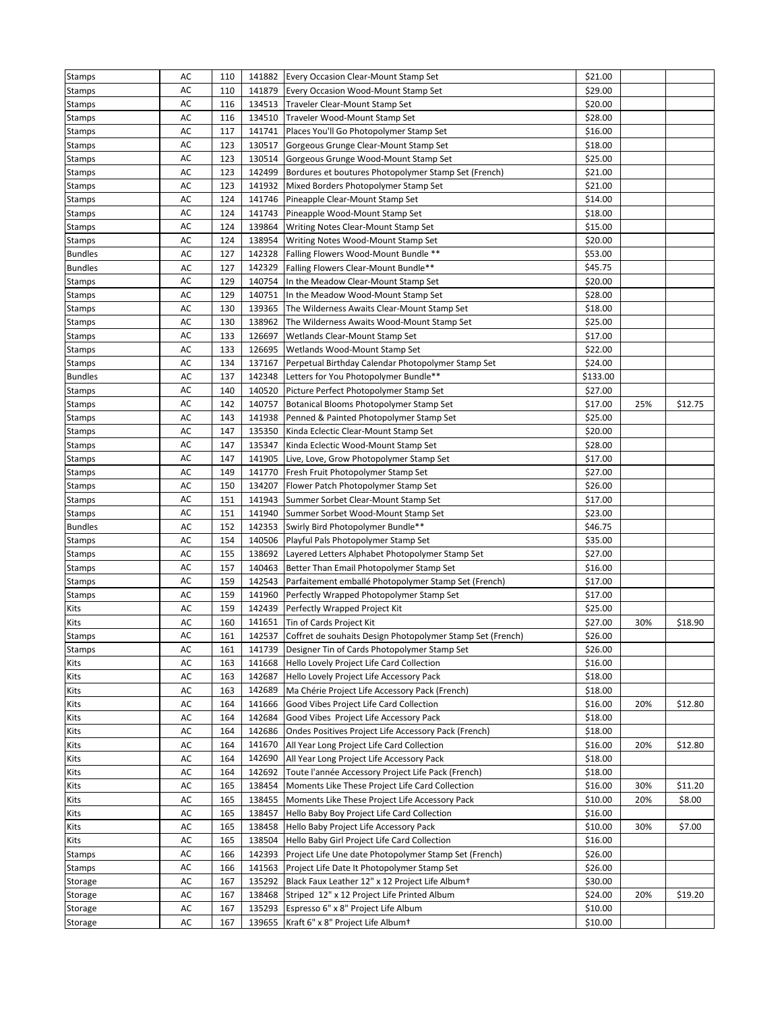| <b>Stamps</b>  | AC | 110 |        | 141882 Every Occasion Clear-Mount Stamp Set                 | \$21.00  |     |         |
|----------------|----|-----|--------|-------------------------------------------------------------|----------|-----|---------|
| Stamps         | AC | 110 | 141879 | Every Occasion Wood-Mount Stamp Set                         | \$29.00  |     |         |
| <b>Stamps</b>  | AC | 116 | 134513 | Traveler Clear-Mount Stamp Set                              | \$20.00  |     |         |
| <b>Stamps</b>  | AC | 116 | 134510 | Traveler Wood-Mount Stamp Set                               | \$28.00  |     |         |
| Stamps         | AC | 117 | 141741 | Places You'll Go Photopolymer Stamp Set                     | \$16.00  |     |         |
| Stamps         | AC | 123 |        | 130517 Gorgeous Grunge Clear-Mount Stamp Set                | \$18.00  |     |         |
| <b>Stamps</b>  | AC | 123 | 130514 | Gorgeous Grunge Wood-Mount Stamp Set                        | \$25.00  |     |         |
| <b>Stamps</b>  | AC | 123 | 142499 | Bordures et boutures Photopolymer Stamp Set (French)        | \$21.00  |     |         |
| <b>Stamps</b>  | AC | 123 | 141932 | Mixed Borders Photopolymer Stamp Set                        | \$21.00  |     |         |
| Stamps         | AC | 124 | 141746 | Pineapple Clear-Mount Stamp Set                             | \$14.00  |     |         |
| Stamps         | AC | 124 | 141743 | Pineapple Wood-Mount Stamp Set                              | \$18.00  |     |         |
| <b>Stamps</b>  | AC | 124 | 139864 | Writing Notes Clear-Mount Stamp Set                         | \$15.00  |     |         |
| Stamps         | AC | 124 | 138954 | Writing Notes Wood-Mount Stamp Set                          | \$20.00  |     |         |
| <b>Bundles</b> | AC | 127 | 142328 | Falling Flowers Wood-Mount Bundle **                        | \$53.00  |     |         |
| <b>Bundles</b> | AC | 127 | 142329 | Falling Flowers Clear-Mount Bundle**                        | \$45.75  |     |         |
| <b>Stamps</b>  | AC | 129 | 140754 | In the Meadow Clear-Mount Stamp Set                         | \$20.00  |     |         |
| <b>Stamps</b>  | AC | 129 | 140751 | In the Meadow Wood-Mount Stamp Set                          | \$28.00  |     |         |
| <b>Stamps</b>  | AC | 130 | 139365 | The Wilderness Awaits Clear-Mount Stamp Set                 | \$18.00  |     |         |
| Stamps         | AC | 130 | 138962 | The Wilderness Awaits Wood-Mount Stamp Set                  | \$25.00  |     |         |
| <b>Stamps</b>  | AC | 133 | 126697 | Wetlands Clear-Mount Stamp Set                              | \$17.00  |     |         |
| Stamps         | AC | 133 | 126695 | Wetlands Wood-Mount Stamp Set                               | \$22.00  |     |         |
| <b>Stamps</b>  | AC | 134 | 137167 | Perpetual Birthday Calendar Photopolymer Stamp Set          | \$24.00  |     |         |
| <b>Bundles</b> | AC | 137 | 142348 | Letters for You Photopolymer Bundle**                       | \$133.00 |     |         |
| <b>Stamps</b>  | AC | 140 | 140520 | Picture Perfect Photopolymer Stamp Set                      | \$27.00  |     |         |
| <b>Stamps</b>  | AC | 142 | 140757 | Botanical Blooms Photopolymer Stamp Set                     | \$17.00  | 25% | \$12.75 |
| <b>Stamps</b>  | AC | 143 | 141938 | Penned & Painted Photopolymer Stamp Set                     | \$25.00  |     |         |
| <b>Stamps</b>  | AC | 147 | 135350 | Kinda Eclectic Clear-Mount Stamp Set                        | \$20.00  |     |         |
| Stamps         | AC | 147 | 135347 | Kinda Eclectic Wood-Mount Stamp Set                         | \$28.00  |     |         |
| Stamps         | AC | 147 | 141905 | Live, Love, Grow Photopolymer Stamp Set                     | \$17.00  |     |         |
| Stamps         | AC | 149 | 141770 | Fresh Fruit Photopolymer Stamp Set                          | \$27.00  |     |         |
| <b>Stamps</b>  | AC | 150 | 134207 | Flower Patch Photopolymer Stamp Set                         | \$26.00  |     |         |
| Stamps         | AC | 151 | 141943 | Summer Sorbet Clear-Mount Stamp Set                         | \$17.00  |     |         |
| Stamps         | AC | 151 | 141940 | Summer Sorbet Wood-Mount Stamp Set                          | \$23.00  |     |         |
| <b>Bundles</b> | AC | 152 | 142353 | Swirly Bird Photopolymer Bundle**                           | \$46.75  |     |         |
| <b>Stamps</b>  | AC | 154 | 140506 | Playful Pals Photopolymer Stamp Set                         | \$35.00  |     |         |
| <b>Stamps</b>  | AC | 155 | 138692 | Layered Letters Alphabet Photopolymer Stamp Set             | \$27.00  |     |         |
| Stamps         | AC | 157 | 140463 | Better Than Email Photopolymer Stamp Set                    | \$16.00  |     |         |
| <b>Stamps</b>  | AC | 159 | 142543 | Parfaitement emballé Photopolymer Stamp Set (French)        | \$17.00  |     |         |
| <b>Stamps</b>  | AC | 159 | 141960 | Perfectly Wrapped Photopolymer Stamp Set                    | \$17.00  |     |         |
| Kits           | AC | 159 | 142439 | Perfectly Wrapped Project Kit                               | \$25.00  |     |         |
| Kits           | AC | 160 | 141651 | Tin of Cards Project Kit                                    | \$27.00  | 30% | \$18.90 |
| <b>Stamps</b>  | AC | 161 | 142537 | Coffret de souhaits Design Photopolymer Stamp Set (French)  | \$26.00  |     |         |
| <b>Stamps</b>  | AC | 161 |        | 141739 Designer Tin of Cards Photopolymer Stamp Set         | \$26.00  |     |         |
| Kits           | AC | 163 | 141668 | Hello Lovely Project Life Card Collection                   | \$16.00  |     |         |
| Kits           | AC | 163 | 142687 | Hello Lovely Project Life Accessory Pack                    | \$18.00  |     |         |
| Kits           | AC | 163 | 142689 | Ma Chérie Project Life Accessory Pack (French)              | \$18.00  |     |         |
| Kits           | AC | 164 | 141666 | Good Vibes Project Life Card Collection                     | \$16.00  | 20% | \$12.80 |
| Kits           | AC | 164 | 142684 | Good Vibes Project Life Accessory Pack                      | \$18.00  |     |         |
| Kits           | AC | 164 | 142686 | Ondes Positives Project Life Accessory Pack (French)        | \$18.00  |     |         |
| Kits           | AC | 164 | 141670 | All Year Long Project Life Card Collection                  | \$16.00  | 20% | \$12.80 |
| Kits           | AC | 164 | 142690 | All Year Long Project Life Accessory Pack                   | \$18.00  |     |         |
| Kits           | AC | 164 | 142692 | Toute l'année Accessory Project Life Pack (French)          | \$18.00  |     |         |
| Kits           | AC | 165 | 138454 | Moments Like These Project Life Card Collection             | \$16.00  | 30% | \$11.20 |
| Kits           | AC | 165 | 138455 | Moments Like These Project Life Accessory Pack              | \$10.00  | 20% | \$8.00  |
| Kits           | AC | 165 | 138457 | Hello Baby Boy Project Life Card Collection                 | \$16.00  |     |         |
| Kits           | AC | 165 | 138458 | Hello Baby Project Life Accessory Pack                      | \$10.00  | 30% | \$7.00  |
| Kits           | AC | 165 | 138504 | Hello Baby Girl Project Life Card Collection                | \$16.00  |     |         |
| <b>Stamps</b>  | AC | 166 | 142393 | Project Life Une date Photopolymer Stamp Set (French)       | \$26.00  |     |         |
| <b>Stamps</b>  | AC | 166 | 141563 | Project Life Date It Photopolymer Stamp Set                 | \$26.00  |     |         |
| Storage        | AC | 167 | 135292 | Black Faux Leather 12" x 12 Project Life Album <sup>+</sup> | \$30.00  |     |         |
| Storage        | AC | 167 | 138468 | Striped 12" x 12 Project Life Printed Album                 | \$24.00  | 20% | \$19.20 |
| Storage        | AC | 167 | 135293 | Espresso 6" x 8" Project Life Album                         | \$10.00  |     |         |
| Storage        | AC | 167 | 139655 | Kraft 6" x 8" Project Life Album+                           | \$10.00  |     |         |
|                |    |     |        |                                                             |          |     |         |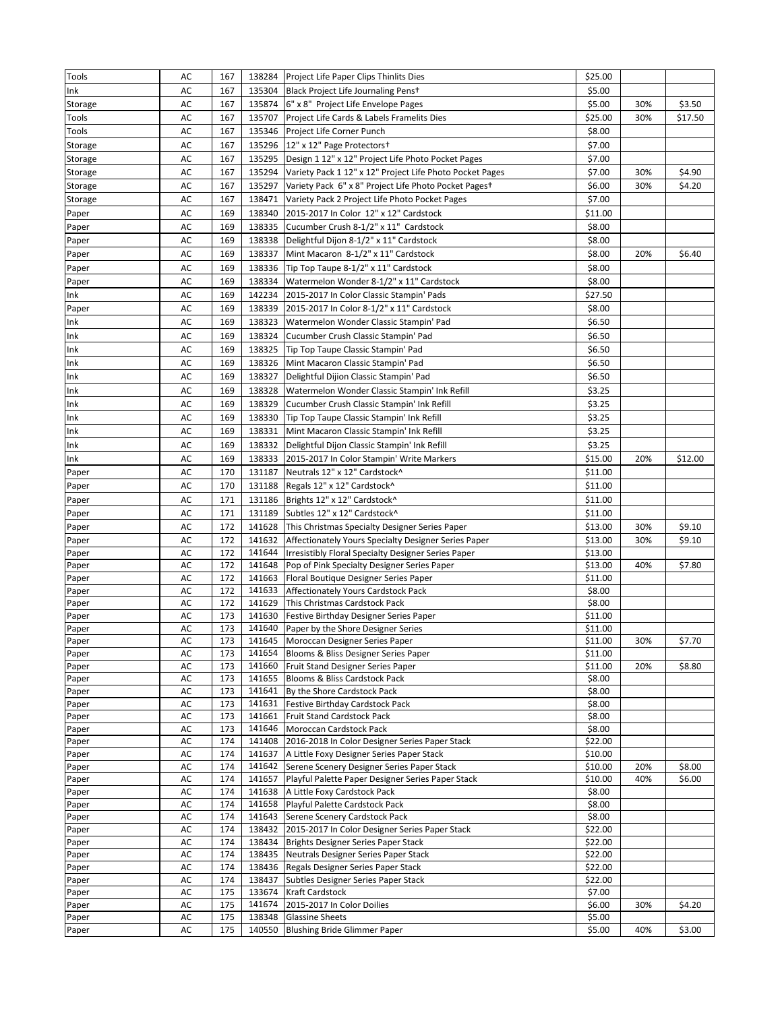| Tools          | AC                  | 167        |        | 138284 Project Life Paper Clips Thinlits Dies                                | \$25.00            |     |         |
|----------------|---------------------|------------|--------|------------------------------------------------------------------------------|--------------------|-----|---------|
| Ink            | AC                  | 167        |        | 135304 Black Project Life Journaling Penst                                   | \$5.00             |     |         |
| Storage        | AC                  | 167        | 135874 | 6" x 8" Project Life Envelope Pages                                          | \$5.00             | 30% | \$3.50  |
| Tools          | AC                  | 167        | 135707 | Project Life Cards & Labels Framelits Dies                                   | \$25.00            | 30% | \$17.50 |
| Tools          | AC                  | 167        |        | 135346 Project Life Corner Punch                                             | \$8.00             |     |         |
| Storage        | AC                  | 167        |        | 135296 12" x 12" Page Protectors+                                            | \$7.00             |     |         |
| Storage        | AC                  | 167        |        | 135295   Design 1 12" x 12" Project Life Photo Pocket Pages                  | \$7.00             |     |         |
| Storage        | AC                  | 167        |        | 135294 Variety Pack 1 12" x 12" Project Life Photo Pocket Pages              | \$7.00             | 30% | \$4.90  |
| Storage        | AC                  | 167        |        | 135297 Variety Pack 6" x 8" Project Life Photo Pocket Pages+                 | \$6.00             | 30% | \$4.20  |
| Storage        | AC                  | 167        | 138471 | Variety Pack 2 Project Life Photo Pocket Pages                               | \$7.00             |     |         |
| Paper          | AC                  | 169        | 138340 | 2015-2017 In Color 12" x 12" Cardstock                                       | \$11.00            |     |         |
| Paper          | AC                  | 169        | 138335 | Cucumber Crush 8-1/2" x 11" Cardstock                                        | \$8.00             |     |         |
| Paper          | AC                  | 169        |        | 138338 Delightful Dijon 8-1/2" x 11" Cardstock                               | \$8.00             |     |         |
| Paper          | AC                  | 169        | 138337 | Mint Macaron 8-1/2" x 11" Cardstock                                          | \$8.00             | 20% | \$6.40  |
| Paper          | AC                  | 169        |        | 138336 Tip Top Taupe 8-1/2" x 11" Cardstock                                  | \$8.00             |     |         |
| Paper          | AC                  | 169        | 138334 | Watermelon Wonder 8-1/2" x 11" Cardstock                                     | \$8.00             |     |         |
| Ink            | AC                  | 169        | 142234 | 2015-2017 In Color Classic Stampin' Pads                                     | \$27.50            |     |         |
| Paper          | AC                  | 169        | 138339 | 2015-2017 In Color 8-1/2" x 11" Cardstock                                    | \$8.00             |     |         |
| Ink            | AC                  | 169        | 138323 | Watermelon Wonder Classic Stampin' Pad                                       | \$6.50             |     |         |
| Ink            | AC                  | 169        |        | 138324 Cucumber Crush Classic Stampin' Pad                                   | \$6.50             |     |         |
| Ink            | AC                  | 169        | 138325 | Tip Top Taupe Classic Stampin' Pad                                           | \$6.50             |     |         |
| Ink            | AC                  | 169        |        | 138326 Mint Macaron Classic Stampin' Pad                                     | \$6.50             |     |         |
| Ink            | AC                  | 169        | 138327 | Delightful Dijion Classic Stampin' Pad                                       | \$6.50             |     |         |
| Ink            | AC                  | 169        | 138328 | Watermelon Wonder Classic Stampin' Ink Refill                                | \$3.25             |     |         |
| Ink            | AC                  | 169        | 138329 | Cucumber Crush Classic Stampin' Ink Refill                                   | \$3.25             |     |         |
| Ink            | AC                  | 169        | 138330 | Tip Top Taupe Classic Stampin' Ink Refill                                    | \$3.25             |     |         |
| Ink            | AC                  | 169        | 138331 | Mint Macaron Classic Stampin' Ink Refill                                     | \$3.25             |     |         |
| Ink            | AC                  | 169        |        | 138332 Delightful Dijon Classic Stampin' Ink Refill                          | \$3.25             |     |         |
| Ink            | AC                  | 169        |        | 138333 2015-2017 In Color Stampin' Write Markers                             | \$15.00            | 20% | \$12.00 |
| Paper          | AC                  | 170        | 131187 | Neutrals 12" x 12" Cardstock^                                                | \$11.00            |     |         |
| Paper          | AC                  | 170        | 131188 | Regals 12" x 12" Cardstock^                                                  | \$11.00            |     |         |
| Paper          | AC                  | 171        | 131186 | Brights 12" x 12" Cardstock^                                                 | \$11.00            |     |         |
| Paper          | AC                  | 171        | 131189 | Subtles 12" x 12" Cardstock^                                                 | \$11.00            |     |         |
| Paper          | AC                  | 172        | 141628 | This Christmas Specialty Designer Series Paper                               | \$13.00            | 30% | \$9.10  |
| Paper          | AC                  | 172        | 141632 | Affectionately Yours Specialty Designer Series Paper                         | \$13.00            | 30% | \$9.10  |
| Paper          | AC                  | 172        | 141644 | <b>Irresistibly Floral Specialty Designer Series Paper</b>                   | \$13.00            |     |         |
| Paper          | AC                  | 172        | 141648 | Pop of Pink Specialty Designer Series Paper                                  | \$13.00            | 40% | \$7.80  |
| Paper          | AC                  | 172        | 141663 | Floral Boutique Designer Series Paper                                        | \$11.00            |     |         |
| Paper          | AC                  | 172        | 141633 | Affectionately Yours Cardstock Pack                                          | \$8.00             |     |         |
| Paper          | AC                  | 172        | 141629 | This Christmas Cardstock Pack                                                | \$8.00             |     |         |
| Paper          | AC                  | 173        | 141630 | Festive Birthday Designer Series Paper                                       | \$11.00            |     |         |
| Paper          | AC<br>$\mathsf{AC}$ | 173<br>173 | 141640 | Paper by the Shore Designer Series<br>141645 Moroccan Designer Series Paper  | \$11.00<br>\$11.00 | 30% | \$7.70  |
| Paper<br>Paper | AC                  | 173        |        | 141654 Blooms & Bliss Designer Series Paper                                  | \$11.00            |     |         |
| Paper          | AC                  | 173        |        | 141660 Fruit Stand Designer Series Paper                                     | \$11.00            | 20% | \$8.80  |
| Paper          | AC                  | 173        |        | 141655 Blooms & Bliss Cardstock Pack                                         | \$8.00             |     |         |
| Paper          | AC                  | 173        |        | 141641 By the Shore Cardstock Pack                                           | \$8.00             |     |         |
| Paper          | AC                  | 173        |        | 141631 Festive Birthday Cardstock Pack                                       | \$8.00             |     |         |
| Paper          | AC                  | 173        | 141661 | Fruit Stand Cardstock Pack                                                   | \$8.00             |     |         |
| Paper          | AC                  | 173        |        | 141646 Moroccan Cardstock Pack                                               | \$8.00             |     |         |
| Paper          | AC                  | 174        |        | 141408 2016-2018 In Color Designer Series Paper Stack                        | \$22.00            |     |         |
| Paper          | AC                  | 174        | 141637 | A Little Foxy Designer Series Paper Stack                                    | \$10.00            |     |         |
| Paper          | AC                  | 174        |        | 141642 Serene Scenery Designer Series Paper Stack                            | \$10.00            | 20% | \$8.00  |
| Paper          | AC                  | 174        |        | 141657 Playful Palette Paper Designer Series Paper Stack                     | \$10.00            | 40% | \$6.00  |
| Paper          | AC<br>AC            | 174<br>174 |        | 141638 A Little Foxy Cardstock Pack<br>141658 Playful Palette Cardstock Pack | \$8.00<br>\$8.00   |     |         |
| Paper<br>Paper | AC                  | 174        |        | 141643 Serene Scenery Cardstock Pack                                         | \$8.00             |     |         |
| Paper          | AC                  | 174        |        | 138432 2015-2017 In Color Designer Series Paper Stack                        | \$22.00            |     |         |
| Paper          | AC                  | 174        |        | 138434 Brights Designer Series Paper Stack                                   | \$22.00            |     |         |
| Paper          | AC                  | 174        |        | 138435 Neutrals Designer Series Paper Stack                                  | \$22.00            |     |         |
| Paper          | AC                  | 174        |        | 138436 Regals Designer Series Paper Stack                                    | \$22.00            |     |         |
| Paper          | AC                  | 174        |        | 138437 Subtles Designer Series Paper Stack                                   | \$22.00            |     |         |
| Paper          | AC                  | 175        |        | 133674 Kraft Cardstock                                                       | \$7.00             |     |         |
| Paper          | AC                  | 175        |        | 141674 2015-2017 In Color Doilies                                            | \$6.00             | 30% | \$4.20  |
| Paper          | AC                  | 175        |        | 138348 Glassine Sheets                                                       | \$5.00             |     |         |
| Paper          | AC                  | 175        |        | 140550 Blushing Bride Glimmer Paper                                          | \$5.00             | 40% | \$3.00  |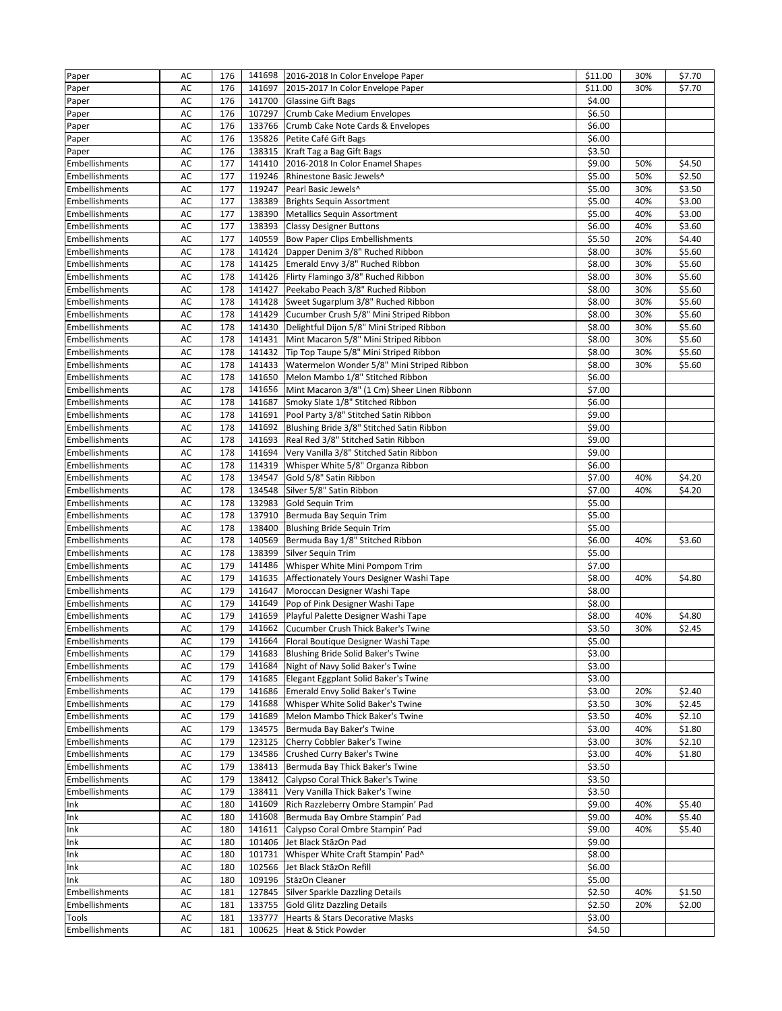| Paper                 | AC            | 176 |        | 141698 2016-2018 In Color Envelope Paper     | \$11.00 | 30% | \$7.70 |
|-----------------------|---------------|-----|--------|----------------------------------------------|---------|-----|--------|
| Paper                 | AC            | 176 | 141697 | 2015-2017 In Color Envelope Paper            | \$11.00 | 30% | \$7.70 |
| Paper                 | AC            | 176 | 141700 | <b>Glassine Gift Bags</b>                    | \$4.00  |     |        |
| Paper                 | AC            | 176 | 107297 | Crumb Cake Medium Envelopes                  | \$6.50  |     |        |
| Paper                 | AC            | 176 | 133766 | Crumb Cake Note Cards & Envelopes            | \$6.00  |     |        |
| Paper                 | AC            | 176 | 135826 | Petite Café Gift Bags                        | \$6.00  |     |        |
| Paper                 | AC            | 176 | 138315 | Kraft Tag a Bag Gift Bags                    | \$3.50  |     |        |
| Embellishments        | AC            | 177 | 141410 | 2016-2018 In Color Enamel Shapes             | \$9.00  | 50% | \$4.50 |
| Embellishments        | AC            | 177 | 119246 | Rhinestone Basic Jewels^                     | \$5.00  | 50% | \$2.50 |
| <b>Embellishments</b> | AC            | 177 | 119247 | Pearl Basic Jewels^                          | \$5.00  | 30% | \$3.50 |
| Embellishments        | AC            | 177 | 138389 | <b>Brights Sequin Assortment</b>             | \$5.00  | 40% | \$3.00 |
| Embellishments        | AC            | 177 | 138390 | <b>Metallics Sequin Assortment</b>           | \$5.00  | 40% | \$3.00 |
| Embellishments        | AC            | 177 | 138393 | <b>Classy Designer Buttons</b>               | \$6.00  | 40% | \$3.60 |
| Embellishments        | AC            | 177 | 140559 | <b>Bow Paper Clips Embellishments</b>        | \$5.50  | 20% | \$4.40 |
| Embellishments        | AC            | 178 |        | 141424 Dapper Denim 3/8" Ruched Ribbon       | \$8.00  | 30% | \$5.60 |
| Embellishments        | AC            | 178 | 141425 | Emerald Envy 3/8" Ruched Ribbon              | \$8.00  | 30% | \$5.60 |
| Embellishments        | AC            | 178 |        | 141426 Flirty Flamingo 3/8" Ruched Ribbon    | \$8.00  | 30% | \$5.60 |
| Embellishments        | AC            | 178 | 141427 | Peekabo Peach 3/8" Ruched Ribbon             | \$8.00  | 30% | \$5.60 |
| Embellishments        | AC            | 178 | 141428 | Sweet Sugarplum 3/8" Ruched Ribbon           | \$8.00  | 30% | 55.60  |
| Embellishments        | AC            | 178 | 141429 | Cucumber Crush 5/8" Mini Striped Ribbon      | \$8.00  | 30% | \$5.60 |
| Embellishments        | AC            | 178 | 141430 | Delightful Dijon 5/8" Mini Striped Ribbon    | \$8.00  | 30% | \$5.60 |
| Embellishments        | AC            | 178 | 141431 | Mint Macaron 5/8" Mini Striped Ribbon        | \$8.00  | 30% | \$5.60 |
| Embellishments        | AC            | 178 | 141432 | Tip Top Taupe 5/8" Mini Striped Ribbon       | \$8.00  | 30% | \$5.60 |
| Embellishments        | AC            | 178 | 141433 | Watermelon Wonder 5/8" Mini Striped Ribbon   | \$8.00  | 30% | \$5.60 |
| Embellishments        | AC            | 178 | 141650 | Melon Mambo 1/8" Stitched Ribbon             | \$6.00  |     |        |
| Embellishments        | AC            | 178 | 141656 | Mint Macaron 3/8" (1 Cm) Sheer Linen Ribbonn | \$7.00  |     |        |
| Embellishments        | AC            | 178 | 141687 | Smoky Slate 1/8" Stitched Ribbon             | \$6.00  |     |        |
| <b>Embellishments</b> | AC            | 178 | 141691 | Pool Party 3/8" Stitched Satin Ribbon        | \$9.00  |     |        |
| <b>Embellishments</b> | AC            | 178 | 141692 | Blushing Bride 3/8" Stitched Satin Ribbon    | \$9.00  |     |        |
| Embellishments        | AC            | 178 | 141693 | Real Red 3/8" Stitched Satin Ribbon          | \$9.00  |     |        |
| Embellishments        | AC            | 178 | 141694 | Very Vanilla 3/8" Stitched Satin Ribbon      | \$9.00  |     |        |
| <b>Embellishments</b> | AC            | 178 | 114319 | Whisper White 5/8" Organza Ribbon            | \$6.00  |     |        |
| Embellishments        | AC            | 178 | 134547 | Gold 5/8" Satin Ribbon                       | \$7.00  | 40% | \$4.20 |
| Embellishments        | AC            | 178 | 134548 | Silver 5/8" Satin Ribbon                     | \$7.00  | 40% | \$4.20 |
| <b>Embellishments</b> | AC            | 178 | 132983 | Gold Sequin Trim                             | \$5.00  |     |        |
| Embellishments        | AC            | 178 | 137910 | Bermuda Bay Sequin Trim                      | \$5.00  |     |        |
| Embellishments        | AC            | 178 | 138400 | <b>Blushing Bride Sequin Trim</b>            | \$5.00  |     |        |
| Embellishments        | AC            | 178 | 140569 | Bermuda Bay 1/8" Stitched Ribbon             | \$6.00  | 40% | \$3.60 |
| Embellishments        | AC            | 178 | 138399 | Silver Sequin Trim                           | \$5.00  |     |        |
| Embellishments        | AC            | 179 | 141486 | Whisper White Mini Pompom Trim               | \$7.00  |     |        |
| Embellishments        | AC            | 179 | 141635 | Affectionately Yours Designer Washi Tape     | \$8.00  | 40% | \$4.80 |
| <b>Embellishments</b> | AC            | 179 | 141647 | Moroccan Designer Washi Tape                 | \$8.00  |     |        |
| Embellishments        | AC            | 179 |        | 141649 Pop of Pink Designer Washi Tape       | \$8.00  |     |        |
| Embellishments        | AC            | 179 | 141659 | Playful Palette Designer Washi Tape          | \$8.00  | 40% | \$4.80 |
| Embellishments        | AC            | 179 | 141662 | Cucumber Crush Thick Baker's Twine           | \$3.50  | 30% | \$2.45 |
| Embellishments        | $\mathsf{AC}$ | 179 |        | 141664 Floral Boutique Designer Washi Tape   | \$5.00  |     |        |
| Embellishments        | AC            | 179 |        | 141683 Blushing Bride Solid Baker's Twine    | \$3.00  |     |        |
| Embellishments        | AC            | 179 |        | 141684 Night of Navy Solid Baker's Twine     | \$3.00  |     |        |
| Embellishments        | AC            | 179 | 141685 | Elegant Eggplant Solid Baker's Twine         | \$3.00  |     |        |
| Embellishments        | AC            | 179 |        | 141686 Emerald Envy Solid Baker's Twine      | \$3.00  | 20% | \$2.40 |
| Embellishments        | AC            | 179 |        | 141688 Whisper White Solid Baker's Twine     | \$3.50  | 30% | \$2.45 |
| Embellishments        | AC            | 179 | 141689 | Melon Mambo Thick Baker's Twine              | \$3.50  | 40% | \$2.10 |
| Embellishments        | AC            | 179 |        | 134575 Bermuda Bay Baker's Twine             | \$3.00  | 40% | \$1.80 |
| Embellishments        | AC            | 179 |        | 123125 Cherry Cobbler Baker's Twine          | \$3.00  | 30% | \$2.10 |
| Embellishments        | AC            | 179 |        | 134586 Crushed Curry Baker's Twine           | \$3.00  | 40% | \$1.80 |
| Embellishments        | AC            | 179 |        | 138413 Bermuda Bay Thick Baker's Twine       | \$3.50  |     |        |
| Embellishments        | AC            | 179 |        | 138412 Calypso Coral Thick Baker's Twine     | \$3.50  |     |        |
| Embellishments        | AC            | 179 |        | 138411 Very Vanilla Thick Baker's Twine      | \$3.50  |     |        |
| Ink                   | AC            | 180 | 141609 | Rich Razzleberry Ombre Stampin' Pad          | \$9.00  | 40% | \$5.40 |
| Ink                   | AC            | 180 |        | 141608 Bermuda Bay Ombre Stampin' Pad        | \$9.00  | 40% | \$5.40 |
| Ink                   | AC            | 180 | 141611 | Calypso Coral Ombre Stampin' Pad             | \$9.00  | 40% | \$5.40 |
| Ink                   | AC            | 180 |        | 101406 Jet Black StäzOn Pad                  | \$9.00  |     |        |
| Ink                   | AC            | 180 |        | 101731 Whisper White Craft Stampin' Pad^     | \$8.00  |     |        |
| Ink                   | AC            | 180 |        | 102566 Jet Black StäzOn Refill               | \$6.00  |     |        |
| Ink                   | AC            | 180 |        | 109196 StäzOn Cleaner                        | \$5.00  |     |        |
| Embellishments        | AC            | 181 |        | 127845 Silver Sparkle Dazzling Details       | \$2.50  | 40% | \$1.50 |
| Embellishments        | AC            | 181 |        | 133755 Gold Glitz Dazzling Details           | \$2.50  | 20% | \$2.00 |
| Tools                 | AC            | 181 |        | 133777 Hearts & Stars Decorative Masks       | \$3.00  |     |        |
| Embellishments        | AC            | 181 |        | 100625 Heat & Stick Powder                   | \$4.50  |     |        |
|                       |               |     |        |                                              |         |     |        |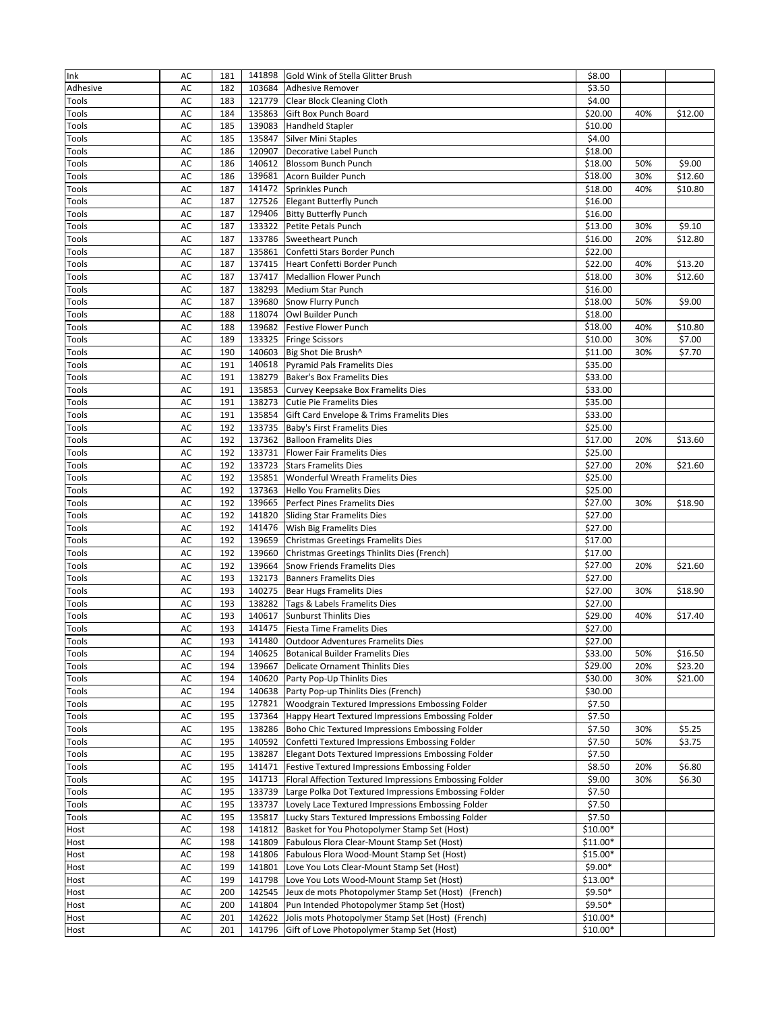| Ink      | AC | 181 | 141898 | Gold Wink of Stella Glitter Brush                      | \$8.00    |     |         |
|----------|----|-----|--------|--------------------------------------------------------|-----------|-----|---------|
| Adhesive | AC | 182 | 103684 | <b>Adhesive Remover</b>                                | \$3.50    |     |         |
| Tools    | AC | 183 |        | 121779 Clear Block Cleaning Cloth                      | \$4.00    |     |         |
| Tools    | AC | 184 | 135863 | Gift Box Punch Board                                   | \$20.00   | 40% | \$12.00 |
| Tools    | AC | 185 | 139083 | <b>Handheld Stapler</b>                                | \$10.00   |     |         |
| Tools    | AC | 185 | 135847 | <b>Silver Mini Staples</b>                             | \$4.00    |     |         |
| Tools    | AC | 186 | 120907 | Decorative Label Punch                                 | \$18.00   |     |         |
| Tools    | AC | 186 | 140612 | <b>Blossom Bunch Punch</b>                             | \$18.00   | 50% | \$9.00  |
| Tools    | AC | 186 | 139681 | Acorn Builder Punch                                    | \$18.00   | 30% | \$12.60 |
| Tools    | AC | 187 | 141472 | Sprinkles Punch                                        | \$18.00   | 40% | \$10.80 |
| Tools    | AC | 187 | 127526 | <b>Elegant Butterfly Punch</b>                         | \$16.00   |     |         |
| Tools    | AC | 187 | 129406 | <b>Bitty Butterfly Punch</b>                           | \$16.00   |     |         |
| Tools    | AC | 187 | 133322 | Petite Petals Punch                                    | \$13.00   | 30% | \$9.10  |
| Tools    | AC | 187 | 133786 | Sweetheart Punch                                       | \$16.00   | 20% | \$12.80 |
| Tools    | AC | 187 | 135861 | Confetti Stars Border Punch                            | \$22.00   |     |         |
| Tools    | AC | 187 | 137415 | Heart Confetti Border Punch                            | \$22.00   | 40% | \$13.20 |
| Tools    | AC | 187 | 137417 | <b>Medallion Flower Punch</b>                          | \$18.00   | 30% | \$12.60 |
| Tools    | AC | 187 | 138293 | Medium Star Punch                                      | \$16.00   |     |         |
| Tools    | AC | 187 | 139680 | Snow Flurry Punch                                      | \$18.00   | 50% | \$9.00  |
| Tools    | AC | 188 |        | 118074 Owl Builder Punch                               | \$18.00   |     |         |
| Tools    | AC | 188 |        | 139682 Festive Flower Punch                            | \$18.00   | 40% | \$10.80 |
| Tools    | AC | 189 | 133325 | <b>Fringe Scissors</b>                                 | \$10.00   | 30% | \$7.00  |
| Tools    | AC | 190 | 140603 | Big Shot Die Brush^                                    | \$11.00   | 30% | \$7.70  |
| Tools    | AC | 191 | 140618 | <b>Pyramid Pals Framelits Dies</b>                     | \$35.00   |     |         |
| Tools    | AC | 191 | 138279 | <b>Baker's Box Framelits Dies</b>                      | \$33.00   |     |         |
| Tools    | AC | 191 | 135853 | Curvey Keepsake Box Framelits Dies                     | \$33.00   |     |         |
| Tools    | AC | 191 | 138273 | <b>Cutie Pie Framelits Dies</b>                        | \$35.00   |     |         |
| Tools    | AC | 191 | 135854 | Gift Card Envelope & Trims Framelits Dies              | \$33.00   |     |         |
| Tools    | AC | 192 | 133735 | Baby's First Framelits Dies                            | \$25.00   |     |         |
| Tools    | AC | 192 | 137362 | <b>Balloon Framelits Dies</b>                          | \$17.00   | 20% | \$13.60 |
| Tools    | AC | 192 |        | 133731 Flower Fair Framelits Dies                      | \$25.00   |     |         |
| Tools    | AC | 192 | 133723 | <b>Stars Framelits Dies</b>                            | \$27.00   | 20% | \$21.60 |
| Tools    | AC | 192 | 135851 | Wonderful Wreath Framelits Dies                        | \$25.00   |     |         |
| Tools    | AC | 192 | 137363 | Hello You Framelits Dies                               | \$25.00   |     |         |
| Tools    | AC | 192 | 139665 | Perfect Pines Framelits Dies                           | \$27.00   | 30% | \$18.90 |
| Tools    | AC | 192 | 141820 | <b>Sliding Star Framelits Dies</b>                     | \$27.00   |     |         |
| Tools    | AC | 192 | 141476 | Wish Big Framelits Dies                                | \$27.00   |     |         |
| Tools    | AC | 192 | 139659 | Christmas Greetings Framelits Dies                     | \$17.00   |     |         |
| Tools    | AC | 192 | 139660 | Christmas Greetings Thinlits Dies (French)             | \$17.00   |     |         |
| Tools    | AC | 192 | 139664 | Snow Friends Framelits Dies                            | \$27.00   | 20% | \$21.60 |
| Tools    | AC | 193 | 132173 | <b>Banners Framelits Dies</b>                          | \$27.00   |     |         |
| Tools    | AC | 193 |        | 140275 Bear Hugs Framelits Dies                        | \$27.00   | 30% | \$18.90 |
| Tools    | AC | 193 |        | 138282 Tags & Labels Framelits Dies                    | \$27.00   |     |         |
| Tools    | AC | 193 | 140617 | <b>Sunburst Thinlits Dies</b>                          | \$29.00   | 40% | \$17.40 |
| Tools    | AC | 193 |        | 141475 Fiesta Time Framelits Dies                      | \$27.00   |     |         |
| Tools    | AC | 193 |        | 141480 Outdoor Adventures Framelits Dies               | \$27.00   |     |         |
| Tools    | AC | 194 | 140625 | <b>Botanical Builder Framelits Dies</b>                | \$33.00   | 50% | \$16.50 |
| Tools    | AC | 194 | 139667 | <b>Delicate Ornament Thinlits Dies</b>                 | \$29.00   | 20% | \$23.20 |
| Tools    | AC | 194 | 140620 | Party Pop-Up Thinlits Dies                             | \$30.00   | 30% | \$21.00 |
| Tools    | AC | 194 | 140638 | Party Pop-up Thinlits Dies (French)                    | \$30.00   |     |         |
| Tools    | AC | 195 | 127821 | Woodgrain Textured Impressions Embossing Folder        | \$7.50    |     |         |
| Tools    | AC | 195 | 137364 | Happy Heart Textured Impressions Embossing Folder      | \$7.50    |     |         |
| Tools    | AC | 195 | 138286 | Boho Chic Textured Impressions Embossing Folder        | \$7.50    | 30% | \$5.25  |
| Tools    | AC | 195 | 140592 | Confetti Textured Impressions Embossing Folder         | \$7.50    | 50% | \$3.75  |
| Tools    | AC | 195 | 138287 | Elegant Dots Textured Impressions Embossing Folder     | \$7.50    |     |         |
| Tools    | AC | 195 | 141471 | Festive Textured Impressions Embossing Folder          | \$8.50    | 20% | \$6.80  |
| Tools    | AC | 195 | 141713 | Floral Affection Textured Impressions Embossing Folder | \$9.00    | 30% | \$6.30  |
| Tools    | AC | 195 | 133739 | Large Polka Dot Textured Impressions Embossing Folder  | \$7.50    |     |         |
| Tools    | AC | 195 | 133737 | Lovely Lace Textured Impressions Embossing Folder      | \$7.50    |     |         |
| Tools    | AC | 195 | 135817 | Lucky Stars Textured Impressions Embossing Folder      | \$7.50    |     |         |
| Host     | AC | 198 | 141812 | Basket for You Photopolymer Stamp Set (Host)           | $$10.00*$ |     |         |
| Host     | AC | 198 | 141809 | Fabulous Flora Clear-Mount Stamp Set (Host)            | $$11.00*$ |     |         |
| Host     | AC | 198 | 141806 | Fabulous Flora Wood-Mount Stamp Set (Host)             | $$15.00*$ |     |         |
| Host     | AC | 199 | 141801 | Love You Lots Clear-Mount Stamp Set (Host)             | $$9.00*$  |     |         |
| Host     | AC | 199 | 141798 | Love You Lots Wood-Mount Stamp Set (Host)              | \$13.00*  |     |         |
| Host     | AC | 200 | 142545 | Jeux de mots Photopolymer Stamp Set (Host)<br>(French) | $$9.50*$  |     |         |
| Host     | AC | 200 | 141804 | Pun Intended Photopolymer Stamp Set (Host)             | $$9.50*$  |     |         |
| Host     | AC | 201 | 142622 | Jolis mots Photopolymer Stamp Set (Host) (French)      | $$10.00*$ |     |         |
| Host     | AC | 201 | 141796 | Gift of Love Photopolymer Stamp Set (Host)             | \$10.00*  |     |         |